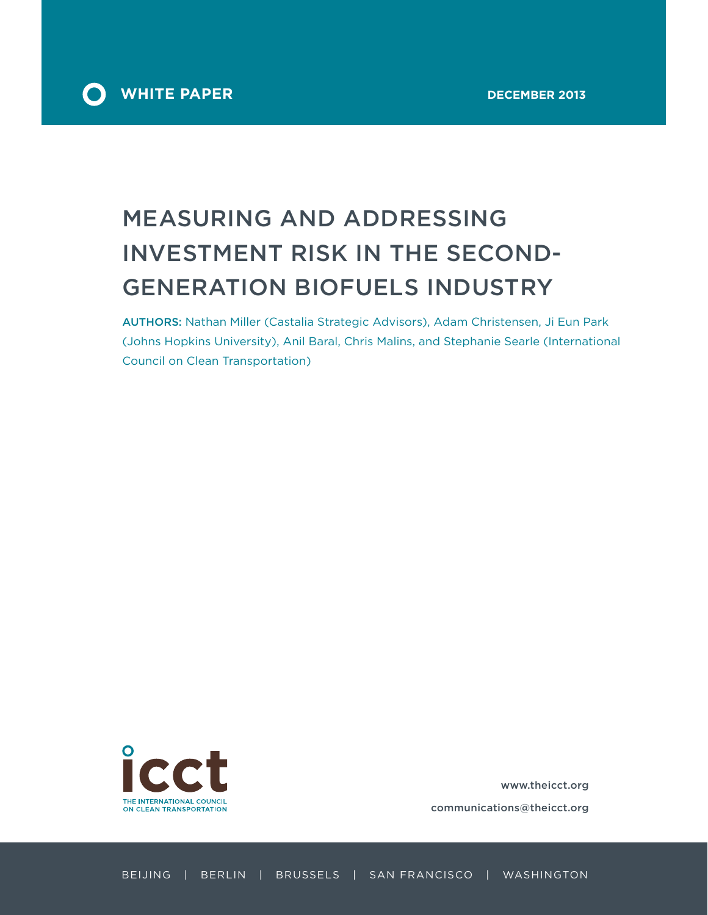

# MEASURING AND ADDRESSING INVESTMENT RISK IN THE SECOND-GENERATION BIOFUELS INDUSTRY

AUTHORS: Nathan Miller (Castalia Strategic Advisors), Adam Christensen, Ji Eun Park (Johns Hopkins University), Anil Baral, Chris Malins, and Stephanie Searle (International Council on Clean Transportation)



www.theicct.org

communications@theicct.org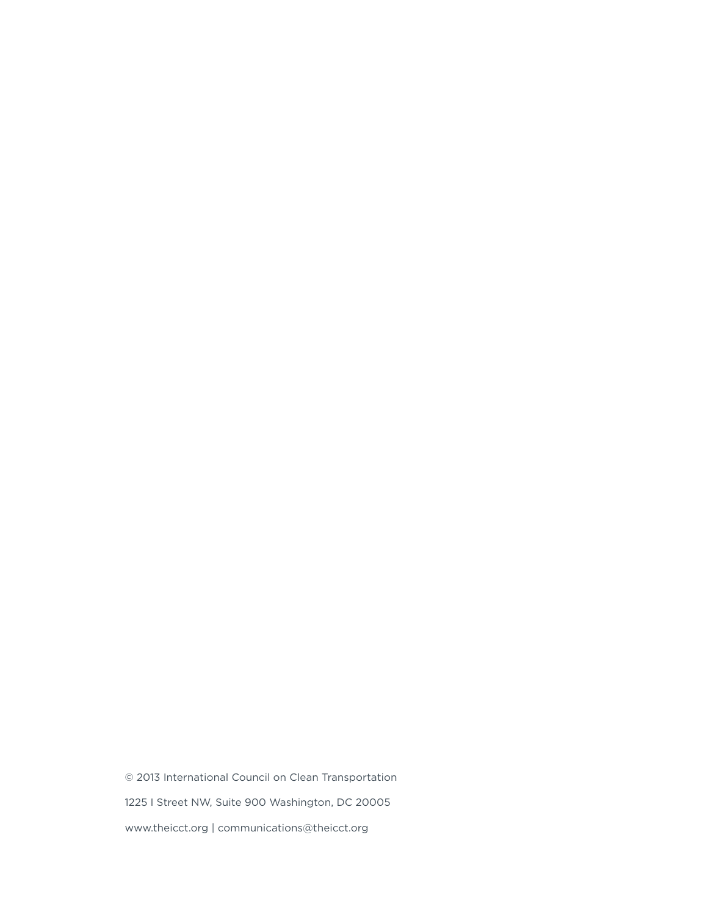© 2013 International Council on Clean Transportation 1225 I Street NW, Suite 900 Washington, DC 20005 www.theicct.org | communications@theicct.org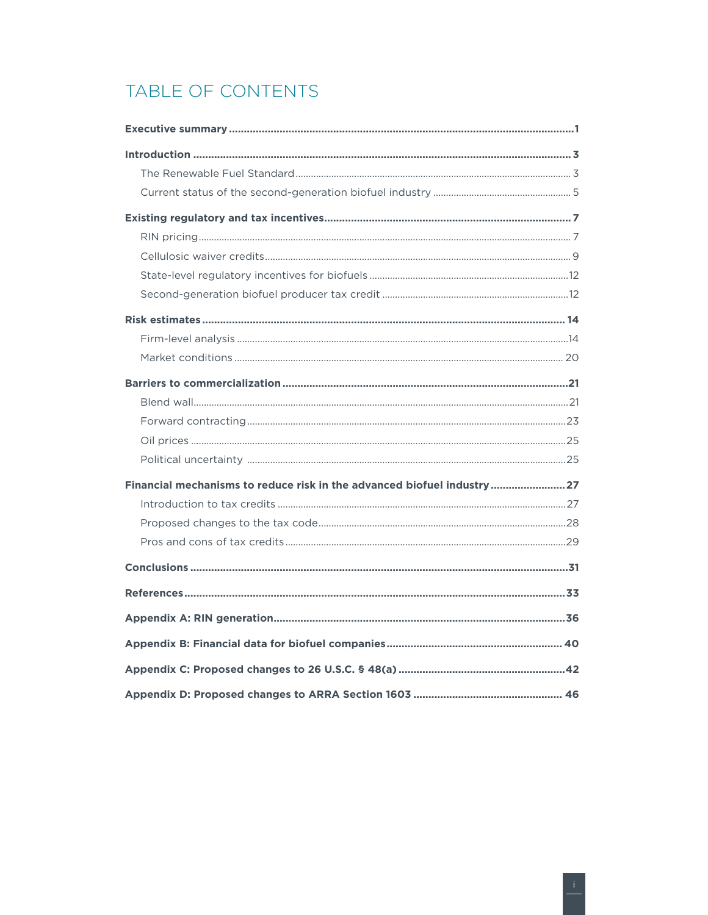## TABLE OF CONTENTS

| Financial mechanisms to reduce risk in the advanced biofuel industry  27 |  |
|--------------------------------------------------------------------------|--|
|                                                                          |  |
|                                                                          |  |
|                                                                          |  |
|                                                                          |  |
|                                                                          |  |
|                                                                          |  |
|                                                                          |  |
|                                                                          |  |
|                                                                          |  |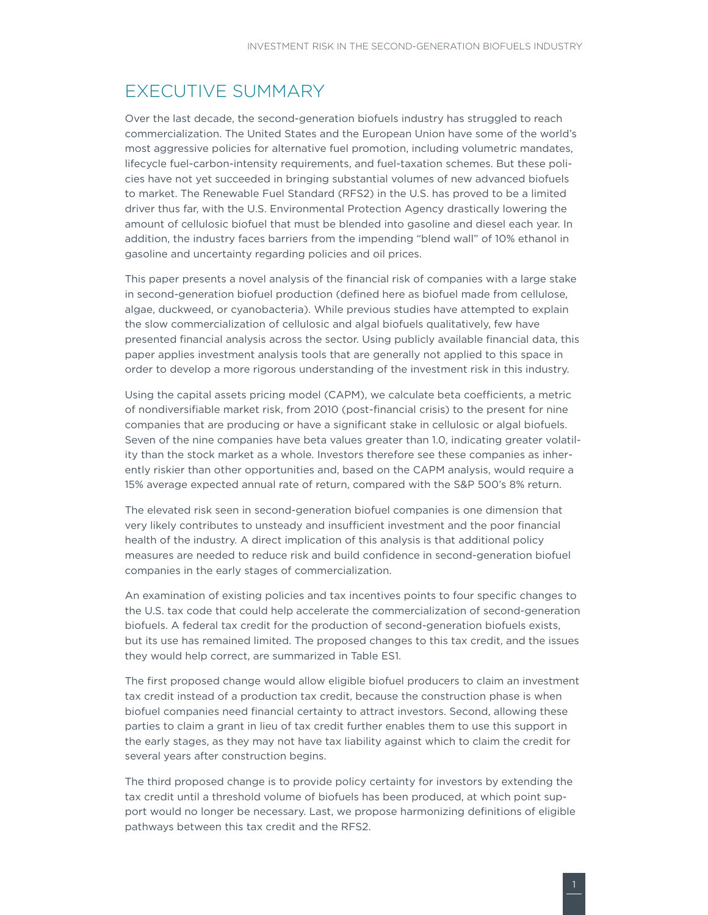### <span id="page-4-0"></span>EXECUTIVE SUMMARY

Over the last decade, the second-generation biofuels industry has struggled to reach commercialization. The United States and the European Union have some of the world's most aggressive policies for alternative fuel promotion, including volumetric mandates, lifecycle fuel-carbon-intensity requirements, and fuel-taxation schemes. But these policies have not yet succeeded in bringing substantial volumes of new advanced biofuels to market. The Renewable Fuel Standard (RFS2) in the U.S. has proved to be a limited driver thus far, with the U.S. Environmental Protection Agency drastically lowering the amount of cellulosic biofuel that must be blended into gasoline and diesel each year. In addition, the industry faces barriers from the impending "blend wall" of 10% ethanol in gasoline and uncertainty regarding policies and oil prices.

This paper presents a novel analysis of the financial risk of companies with a large stake in second-generation biofuel production (defined here as biofuel made from cellulose, algae, duckweed, or cyanobacteria). While previous studies have attempted to explain the slow commercialization of cellulosic and algal biofuels qualitatively, few have presented financial analysis across the sector. Using publicly available financial data, this paper applies investment analysis tools that are generally not applied to this space in order to develop a more rigorous understanding of the investment risk in this industry.

Using the capital assets pricing model (CAPM), we calculate beta coefficients, a metric of nondiversifiable market risk, from 2010 (post-financial crisis) to the present for nine companies that are producing or have a significant stake in cellulosic or algal biofuels. Seven of the nine companies have beta values greater than 1.0, indicating greater volatility than the stock market as a whole. Investors therefore see these companies as inherently riskier than other opportunities and, based on the CAPM analysis, would require a 15% average expected annual rate of return, compared with the S&P 500's 8% return.

The elevated risk seen in second-generation biofuel companies is one dimension that very likely contributes to unsteady and insufficient investment and the poor financial health of the industry. A direct implication of this analysis is that additional policy measures are needed to reduce risk and build confidence in second-generation biofuel companies in the early stages of commercialization.

An examination of existing policies and tax incentives points to four specific changes to the U.S. tax code that could help accelerate the commercialization of second-generation biofuels. A federal tax credit for the production of second-generation biofuels exists, but its use has remained limited. The proposed changes to this tax credit, and the issues they would help correct, are summarized in Table ES1.

The first proposed change would allow eligible biofuel producers to claim an investment tax credit instead of a production tax credit, because the construction phase is when biofuel companies need financial certainty to attract investors. Second, allowing these parties to claim a grant in lieu of tax credit further enables them to use this support in the early stages, as they may not have tax liability against which to claim the credit for several years after construction begins.

The third proposed change is to provide policy certainty for investors by extending the tax credit until a threshold volume of biofuels has been produced, at which point support would no longer be necessary. Last, we propose harmonizing definitions of eligible pathways between this tax credit and the RFS2.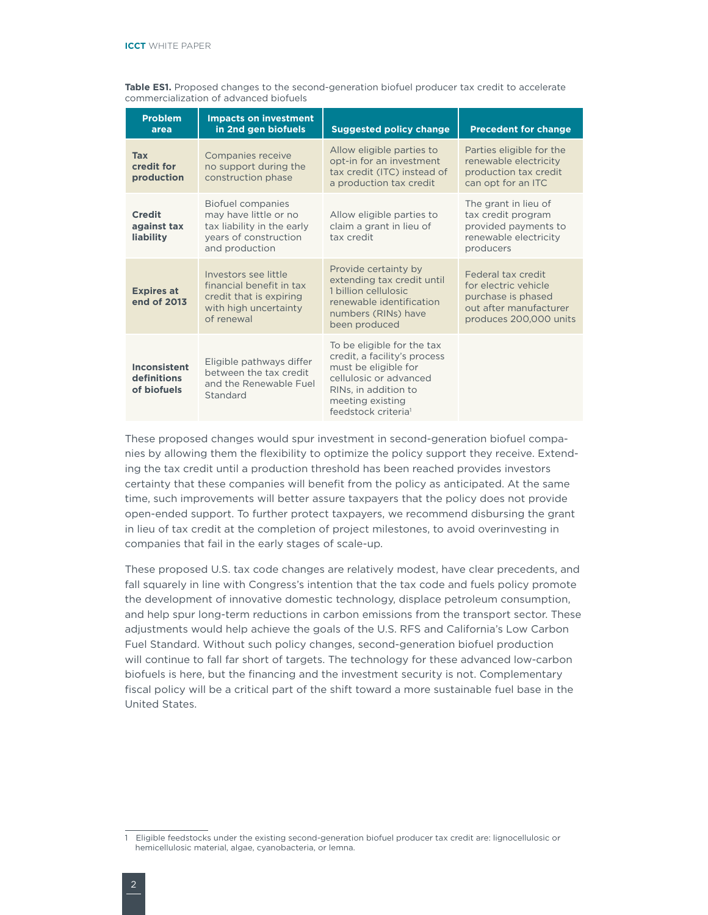| <b>Problem</b><br>area                     | <b>Impacts on investment</b><br>in 2nd gen biofuels                                                                 | <b>Suggested policy change</b>                                                                                                                                                              | <b>Precedent for change</b>                                                                                          |
|--------------------------------------------|---------------------------------------------------------------------------------------------------------------------|---------------------------------------------------------------------------------------------------------------------------------------------------------------------------------------------|----------------------------------------------------------------------------------------------------------------------|
| <b>Tax</b><br>credit for<br>production     | Companies receive<br>no support during the<br>construction phase                                                    | Allow eligible parties to<br>opt-in for an investment<br>tax credit (ITC) instead of<br>a production tax credit                                                                             | Parties eligible for the<br>renewable electricity<br>production tax credit<br>can opt for an ITC                     |
| <b>Credit</b><br>against tax<br>liability  | Biofuel companies<br>may have little or no<br>tax liability in the early<br>years of construction<br>and production | Allow eligible parties to<br>claim a grant in lieu of<br>tax credit                                                                                                                         | The grant in lieu of<br>tax credit program<br>provided payments to<br>renewable electricity<br>producers             |
| <b>Expires at</b><br>end of 2013           | Investors see little<br>financial benefit in tax<br>credit that is expiring<br>with high uncertainty<br>of renewal  | Provide certainty by<br>extending tax credit until<br>1 billion cellulosic<br>renewable identification<br>numbers (RINs) have<br>been produced                                              | Federal tax credit<br>for electric vehicle<br>purchase is phased<br>out after manufacturer<br>produces 200,000 units |
| Inconsistent<br>definitions<br>of biofuels | Eligible pathways differ<br>between the tax credit<br>and the Renewable Fuel<br>Standard                            | To be eligible for the tax<br>credit, a facility's process<br>must be eligible for<br>cellulosic or advanced<br>RINs, in addition to<br>meeting existing<br>feedstock criteria <sup>1</sup> |                                                                                                                      |

**Table ES1.** Proposed changes to the second-generation biofuel producer tax credit to accelerate commercialization of advanced biofuels

These proposed changes would spur investment in second-generation biofuel companies by allowing them the flexibility to optimize the policy support they receive. Extending the tax credit until a production threshold has been reached provides investors certainty that these companies will benefit from the policy as anticipated. At the same time, such improvements will better assure taxpayers that the policy does not provide open-ended support. To further protect taxpayers, we recommend disbursing the grant in lieu of tax credit at the completion of project milestones, to avoid overinvesting in companies that fail in the early stages of scale-up.

These proposed U.S. tax code changes are relatively modest, have clear precedents, and fall squarely in line with Congress's intention that the tax code and fuels policy promote the development of innovative domestic technology, displace petroleum consumption, and help spur long-term reductions in carbon emissions from the transport sector. These adjustments would help achieve the goals of the U.S. RFS and California's Low Carbon Fuel Standard. Without such policy changes, second-generation biofuel production will continue to fall far short of targets. The technology for these advanced low-carbon biofuels is here, but the financing and the investment security is not. Complementary fiscal policy will be a critical part of the shift toward a more sustainable fuel base in the United States.

<sup>1</sup> Eligible feedstocks under the existing second-generation biofuel producer tax credit are: lignocellulosic or hemicellulosic material, algae, cyanobacteria, or lemna.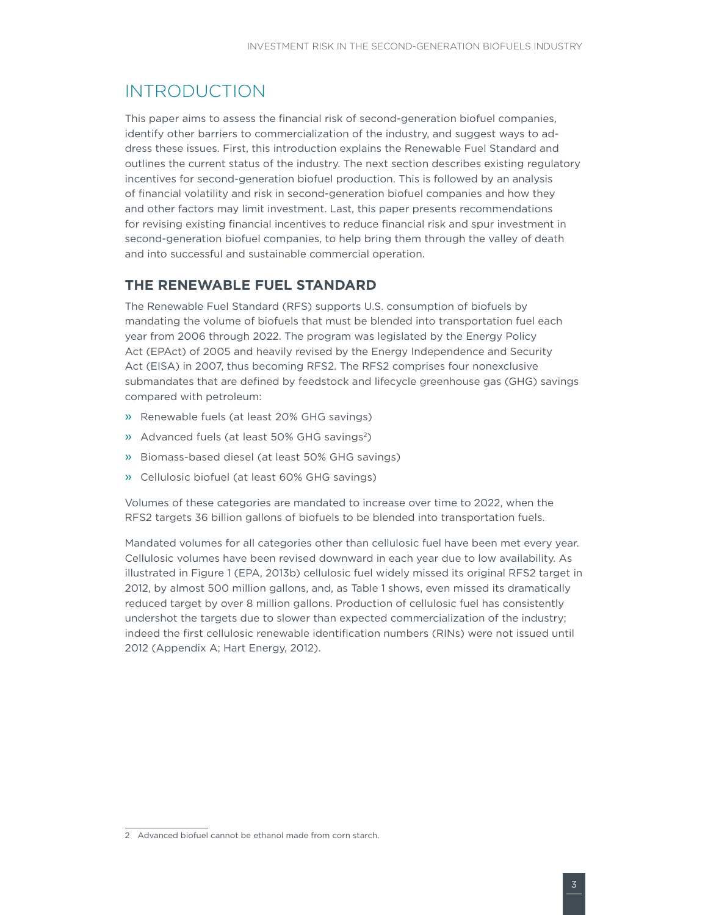### <span id="page-6-0"></span>INTRODUCTION

This paper aims to assess the financial risk of second-generation biofuel companies, identify other barriers to commercialization of the industry, and suggest ways to address these issues. First, this introduction explains the Renewable Fuel Standard and outlines the current status of the industry. The next section describes existing regulatory incentives for second-generation biofuel production. This is followed by an analysis of financial volatility and risk in second-generation biofuel companies and how they and other factors may limit investment. Last, this paper presents recommendations for revising existing financial incentives to reduce financial risk and spur investment in second-generation biofuel companies, to help bring them through the valley of death and into successful and sustainable commercial operation.

### **THE RENEWABLE FUEL STANDARD**

The Renewable Fuel Standard (RFS) supports U.S. consumption of biofuels by mandating the volume of biofuels that must be blended into transportation fuel each year from 2006 through 2022. The program was legislated by the Energy Policy Act (EPAct) of 2005 and heavily revised by the Energy Independence and Security Act (EISA) in 2007, thus becoming RFS2. The RFS2 comprises four nonexclusive submandates that are defined by feedstock and lifecycle greenhouse gas (GHG) savings compared with petroleum:

- » Renewable fuels (at least 20% GHG savings)
- » Advanced fuels (at least 50% GHG savings2)
- » Biomass-based diesel (at least 50% GHG savings)
- » Cellulosic biofuel (at least 60% GHG savings)

Volumes of these categories are mandated to increase over time to 2022, when the RFS2 targets 36 billion gallons of biofuels to be blended into transportation fuels.

Mandated volumes for all categories other than cellulosic fuel have been met every year. Cellulosic volumes have been revised downward in each year due to low availability. As illustrated in Figure 1 (EPA, 2013b) cellulosic fuel widely missed its original RFS2 target in 2012, by almost 500 million gallons, and, as Table 1 shows, even missed its dramatically reduced target by over 8 million gallons. Production of cellulosic fuel has consistently undershot the targets due to slower than expected commercialization of the industry; indeed the first cellulosic renewable identification numbers (RINs) were not issued until 2012 (Appendix A; Hart Energy, 2012).

<sup>2</sup> Advanced biofuel cannot be ethanol made from corn starch.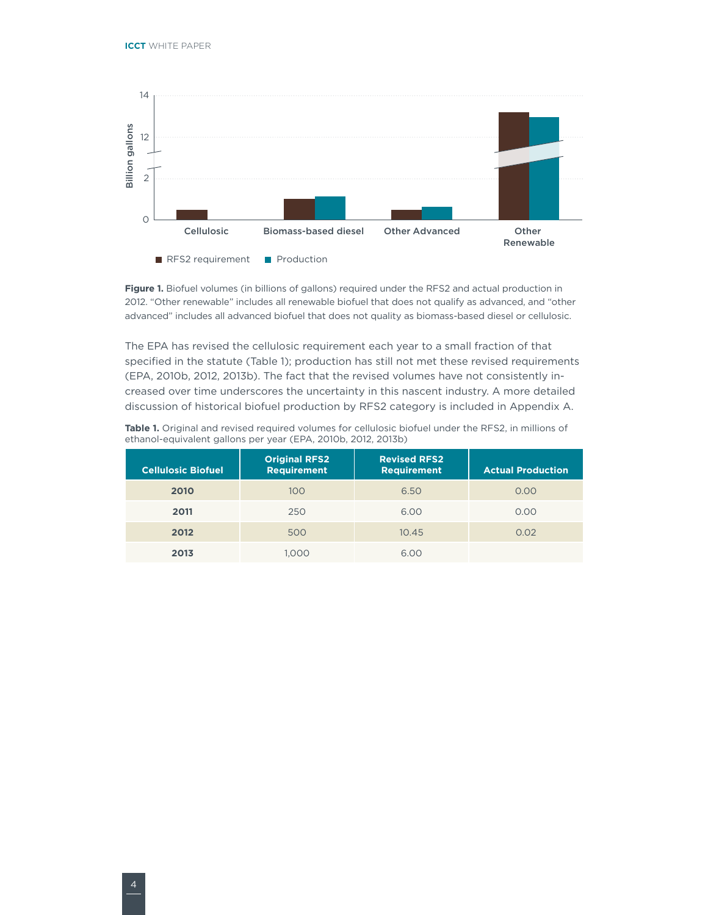

**Figure 1.** Biofuel volumes (in billions of gallons) required under the RFS2 and actual production in 2012. "Other renewable" includes all renewable biofuel that does not qualify as advanced, and "other advanced" includes all advanced biofuel that does not quality as biomass-based diesel or cellulosic.

The EPA has revised the cellulosic requirement each year to a small fraction of that specified in the statute (Table 1); production has still not met these revised requirements (EPA, 2010b, 2012, 2013b). The fact that the revised volumes have not consistently increased over time underscores the uncertainty in this nascent industry. A more detailed discussion of historical biofuel production by RFS2 category is included in Appendix A.

| <b>Cellulosic Biofuel</b> | <b>Original RFS2</b><br><b>Requirement</b> | <b>Revised RFS2</b><br><b>Requirement</b> | <b>Actual Production</b> |
|---------------------------|--------------------------------------------|-------------------------------------------|--------------------------|
| 2010                      | 100                                        | 6.50                                      | 0.00                     |
| 2011                      | 250                                        | 6.00                                      | 0.00                     |
| 2012                      | 500                                        | 10.45                                     | 0.02                     |
| 2013                      | 1.000                                      | 6.00                                      |                          |

**Table 1.** Original and revised required volumes for cellulosic biofuel under the RFS2, in millions of ethanol-equivalent gallons per year (EPA, 2010b, 2012, 2013b)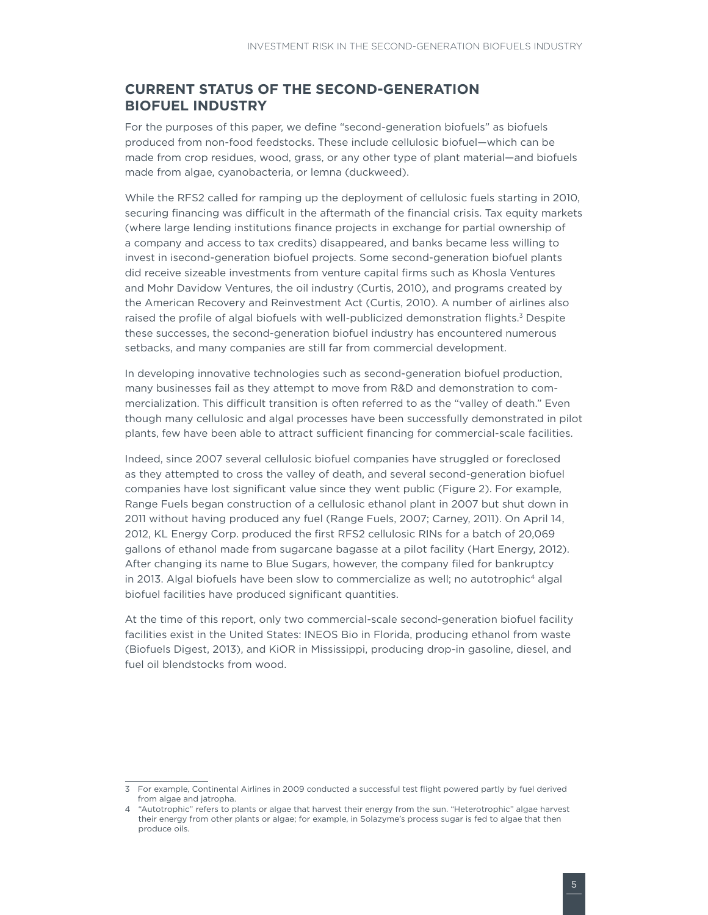### <span id="page-8-0"></span>**CURRENT STATUS OF THE SECOND-GENERATION BIOFUEL INDUSTRY**

For the purposes of this paper, we define "second-generation biofuels" as biofuels produced from non-food feedstocks. These include cellulosic biofuel—which can be made from crop residues, wood, grass, or any other type of plant material—and biofuels made from algae, cyanobacteria, or lemna (duckweed).

While the RFS2 called for ramping up the deployment of cellulosic fuels starting in 2010, securing financing was difficult in the aftermath of the financial crisis. Tax equity markets (where large lending institutions finance projects in exchange for partial ownership of a company and access to tax credits) disappeared, and banks became less willing to invest in isecond-generation biofuel projects. Some second-generation biofuel plants did receive sizeable investments from venture capital firms such as Khosla Ventures and Mohr Davidow Ventures, the oil industry (Curtis, 2010), and programs created by the American Recovery and Reinvestment Act (Curtis, 2010). A number of airlines also raised the profile of algal biofuels with well-publicized demonstration flights.<sup>3</sup> Despite these successes, the second-generation biofuel industry has encountered numerous setbacks, and many companies are still far from commercial development.

In developing innovative technologies such as second-generation biofuel production, many businesses fail as they attempt to move from R&D and demonstration to commercialization. This difficult transition is often referred to as the "valley of death." Even though many cellulosic and algal processes have been successfully demonstrated in pilot plants, few have been able to attract sufficient financing for commercial-scale facilities.

Indeed, since 2007 several cellulosic biofuel companies have struggled or foreclosed as they attempted to cross the valley of death, and several second-generation biofuel companies have lost significant value since they went public (Figure 2). For example, Range Fuels began construction of a cellulosic ethanol plant in 2007 but shut down in 2011 without having produced any fuel (Range Fuels, 2007; Carney, 2011). On April 14, 2012, KL Energy Corp. produced the first RFS2 cellulosic RINs for a batch of 20,069 gallons of ethanol made from sugarcane bagasse at a pilot facility (Hart Energy, 2012). After changing its name to Blue Sugars, however, the company filed for bankruptcy in 2013. Algal biofuels have been slow to commercialize as well; no autotrophic<sup>4</sup> algal biofuel facilities have produced significant quantities.

At the time of this report, only two commercial-scale second-generation biofuel facility facilities exist in the United States: INEOS Bio in Florida, producing ethanol from waste (Biofuels Digest, 2013), and KiOR in Mississippi, producing drop-in gasoline, diesel, and fuel oil blendstocks from wood.

<sup>3</sup> For example, Continental Airlines in 2009 conducted a successful test flight powered partly by fuel derived from algae and jatropha.

<sup>4 &</sup>quot;Autotrophic" refers to plants or algae that harvest their energy from the sun. "Heterotrophic" algae harvest their energy from other plants or algae; for example, in Solazyme's process sugar is fed to algae that then produce oils.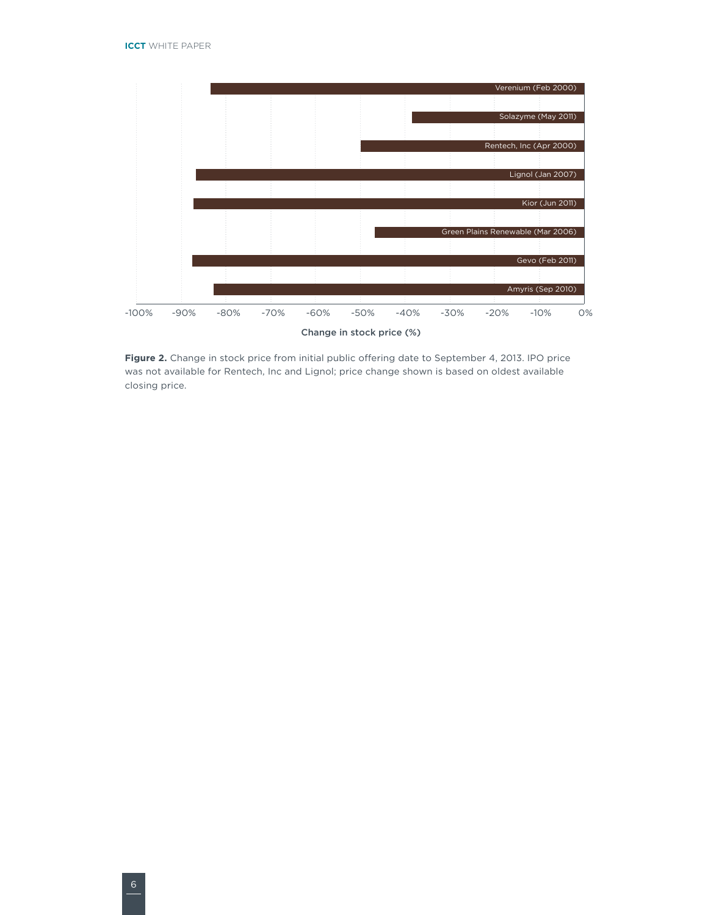

Figure 2. Change in stock price from initial public offering date to September 4, 2013. IPO price was not available for Rentech, Inc and Lignol; price change shown is based on oldest available closing price.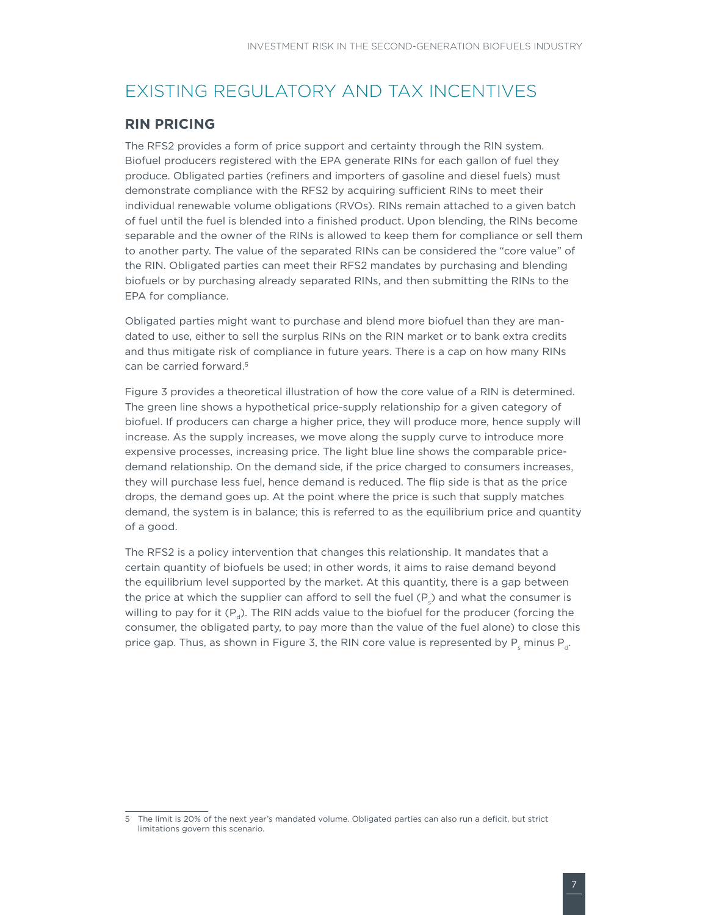### <span id="page-10-0"></span>EXISTING REGULATORY AND TAX INCENTIVES

### **RIN PRICING**

The RFS2 provides a form of price support and certainty through the RIN system. Biofuel producers registered with the EPA generate RINs for each gallon of fuel they produce. Obligated parties (refiners and importers of gasoline and diesel fuels) must demonstrate compliance with the RFS2 by acquiring sufficient RINs to meet their individual renewable volume obligations (RVOs). RINs remain attached to a given batch of fuel until the fuel is blended into a finished product. Upon blending, the RINs become separable and the owner of the RINs is allowed to keep them for compliance or sell them to another party. The value of the separated RINs can be considered the "core value" of the RIN. Obligated parties can meet their RFS2 mandates by purchasing and blending biofuels or by purchasing already separated RINs, and then submitting the RINs to the EPA for compliance.

Obligated parties might want to purchase and blend more biofuel than they are mandated to use, either to sell the surplus RINs on the RIN market or to bank extra credits and thus mitigate risk of compliance in future years. There is a cap on how many RINs can be carried forward.<sup>5</sup>

Figure 3 provides a theoretical illustration of how the core value of a RIN is determined. The green line shows a hypothetical price-supply relationship for a given category of biofuel. If producers can charge a higher price, they will produce more, hence supply will increase. As the supply increases, we move along the supply curve to introduce more expensive processes, increasing price. The light blue line shows the comparable pricedemand relationship. On the demand side, if the price charged to consumers increases, they will purchase less fuel, hence demand is reduced. The flip side is that as the price drops, the demand goes up. At the point where the price is such that supply matches demand, the system is in balance; this is referred to as the equilibrium price and quantity of a good.

The RFS2 is a policy intervention that changes this relationship. It mandates that a certain quantity of biofuels be used; in other words, it aims to raise demand beyond the equilibrium level supported by the market. At this quantity, there is a gap between the price at which the supplier can afford to sell the fuel (P<sub>s</sub>) and what the consumer is willing to pay for it  $(P_{\nu})$ . The RIN adds value to the biofuel for the producer (forcing the consumer, the obligated party, to pay more than the value of the fuel alone) to close this price gap. Thus, as shown in Figure 3, the RIN core value is represented by  $\mathsf{P}_{_{\mathrm{S}}}$  minus  $\mathsf{P}_{_{\mathrm{d}}}$ .

<sup>5</sup> The limit is 20% of the next year's mandated volume. Obligated parties can also run a deficit, but strict limitations govern this scenario.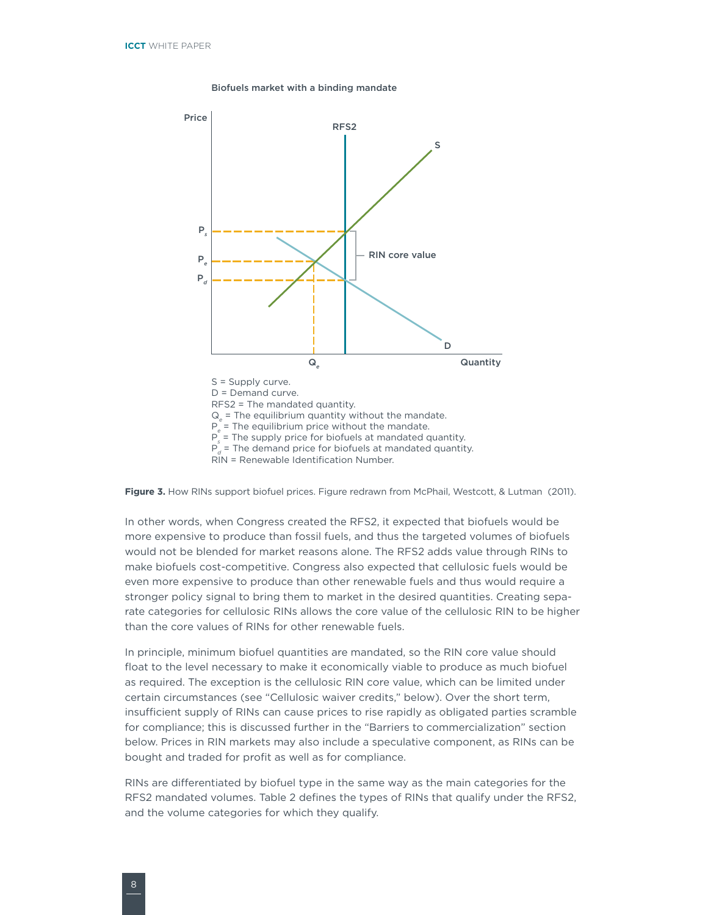



Figure 3. How RINs support biofuel prices. Figure redrawn from McPhail, Westcott, & Lutman (2011).

In other words, when Congress created the RFS2, it expected that biofuels would be more expensive to produce than fossil fuels, and thus the targeted volumes of biofuels would not be blended for market reasons alone. The RFS2 adds value through RINs to make biofuels cost-competitive. Congress also expected that cellulosic fuels would be even more expensive to produce than other renewable fuels and thus would require a stronger policy signal to bring them to market in the desired quantities. Creating separate categories for cellulosic RINs allows the core value of the cellulosic RIN to be higher than the core values of RINs for other renewable fuels.

In principle, minimum biofuel quantities are mandated, so the RIN core value should float to the level necessary to make it economically viable to produce as much biofuel as required. The exception is the cellulosic RIN core value, which can be limited under certain circumstances (see "Cellulosic waiver credits," below). Over the short term, insufficient supply of RINs can cause prices to rise rapidly as obligated parties scramble for compliance; this is discussed further in the "Barriers to commercialization" section below. Prices in RIN markets may also include a speculative component, as RINs can be bought and traded for profit as well as for compliance.

RINs are differentiated by biofuel type in the same way as the main categories for the RFS2 mandated volumes. Table 2 defines the types of RINs that qualify under the RFS2, and the volume categories for which they qualify.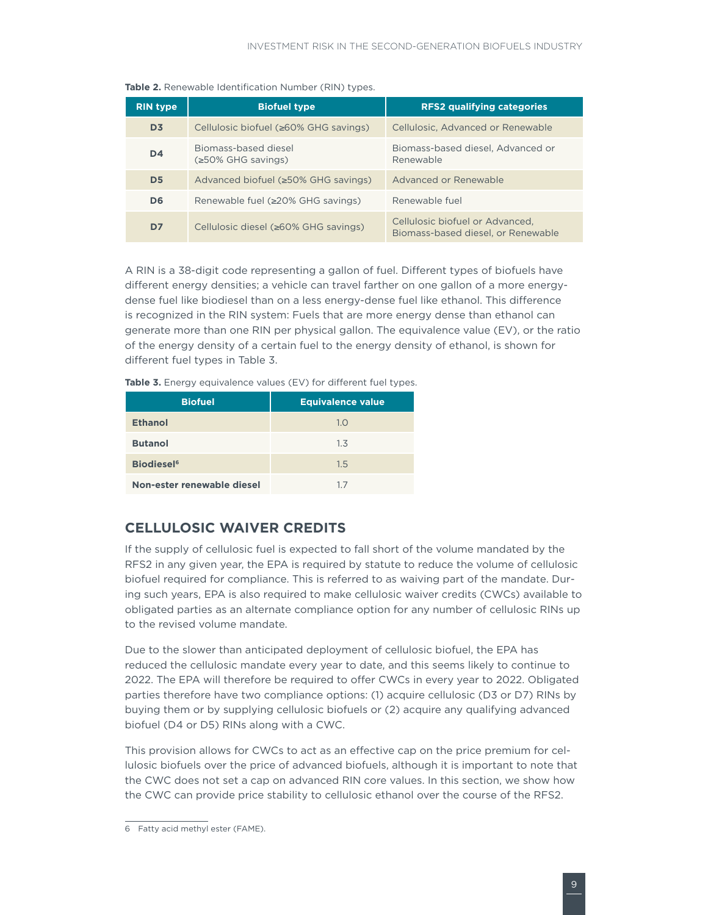| <b>RIN type</b> | <b>Biofuel type</b>                        | <b>RFS2 qualifying categories</b>                                     |
|-----------------|--------------------------------------------|-----------------------------------------------------------------------|
| D <sub>3</sub>  | Cellulosic biofuel (≥60% GHG savings)      | Cellulosic, Advanced or Renewable                                     |
| D <sub>4</sub>  | Biomass-based diesel<br>(≥50% GHG savings) | Biomass-based diesel, Advanced or<br>Renewable                        |
| D <sub>5</sub>  | Advanced biofuel (≥50% GHG savings)        | Advanced or Renewable                                                 |
| D <sub>6</sub>  | Renewable fuel (≥20% GHG savings)          | Renewable fuel                                                        |
| D7              | Cellulosic diesel (≥60% GHG savings)       | Cellulosic biofuel or Advanced,<br>Biomass-based diesel, or Renewable |

<span id="page-12-0"></span>**Table 2.** Renewable Identification Number (RIN) types.

A RIN is a 38-digit code representing a gallon of fuel. Different types of biofuels have different energy densities; a vehicle can travel farther on one gallon of a more energydense fuel like biodiesel than on a less energy-dense fuel like ethanol. This difference is recognized in the RIN system: Fuels that are more energy dense than ethanol can generate more than one RIN per physical gallon. The equivalence value (EV), or the ratio of the energy density of a certain fuel to the energy density of ethanol, is shown for different fuel types in Table 3.

| <b>Table 3.</b> Energy equivalence values (EV) for different fuel types. |  |
|--------------------------------------------------------------------------|--|
|--------------------------------------------------------------------------|--|

| <b>Biofuel</b>                | <b>Equivalence value</b> |
|-------------------------------|--------------------------|
| <b>Ethanol</b>                | 1.0                      |
| <b>Butanol</b>                | 1.3                      |
| <b>Biodiesel</b> <sup>6</sup> | 1.5                      |
| Non-ester renewable diesel    | 17                       |

### **CELLULOSIC WAIVER CREDITS**

If the supply of cellulosic fuel is expected to fall short of the volume mandated by the RFS2 in any given year, the EPA is required by statute to reduce the volume of cellulosic biofuel required for compliance. This is referred to as waiving part of the mandate. During such years, EPA is also required to make cellulosic waiver credits (CWCs) available to obligated parties as an alternate compliance option for any number of cellulosic RINs up to the revised volume mandate.

Due to the slower than anticipated deployment of cellulosic biofuel, the EPA has reduced the cellulosic mandate every year to date, and this seems likely to continue to 2022. The EPA will therefore be required to offer CWCs in every year to 2022. Obligated parties therefore have two compliance options: (1) acquire cellulosic (D3 or D7) RINs by buying them or by supplying cellulosic biofuels or (2) acquire any qualifying advanced biofuel (D4 or D5) RINs along with a CWC.

This provision allows for CWCs to act as an effective cap on the price premium for cellulosic biofuels over the price of advanced biofuels, although it is important to note that the CWC does not set a cap on advanced RIN core values. In this section, we show how the CWC can provide price stability to cellulosic ethanol over the course of the RFS2.

<sup>6</sup> Fatty acid methyl ester (FAME).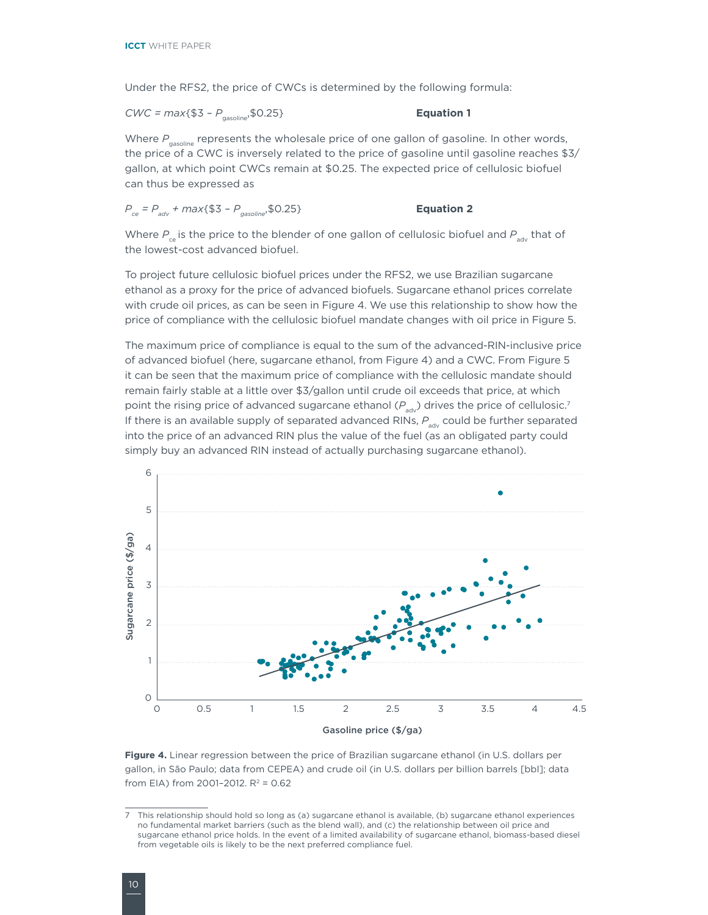Under the RFS2, the price of CWCs is determined by the following formula:

*CWC = max*{\$3 -  $P_{\text{gasoline}}$ ; \$0.25} **Equation 1** 

Where P<sub>gasoline</sub> represents the wholesale price of one gallon of gasoline. In other words, the price of a CWC is inversely related to the price of gasoline until gasoline reaches \$3/ gallon, at which point CWCs remain at \$0.25. The expected price of cellulosic biofuel can thus be expressed as

$$
P_{ce} = P_{adv} + max\{\$3 - P_{gasoline}, \$0.25\}
$$
 **Equation 2**

Where  $P_{c}$  is the price to the blender of one gallon of cellulosic biofuel and  $P_{adv}$  that of the lowest-cost advanced biofuel.

To project future cellulosic biofuel prices under the RFS2, we use Brazilian sugarcane ethanol as a proxy for the price of advanced biofuels. Sugarcane ethanol prices correlate with crude oil prices, as can be seen in Figure 4. We use this relationship to show how the price of compliance with the cellulosic biofuel mandate changes with oil price in Figure 5.

The maximum price of compliance is equal to the sum of the advanced-RIN-inclusive price of advanced biofuel (here, sugarcane ethanol, from Figure 4) and a CWC. From Figure 5 it can be seen that the maximum price of compliance with the cellulosic mandate should remain fairly stable at a little over \$3/gallon until crude oil exceeds that price, at which point the rising price of advanced sugarcane ethanol ( $P_{adv}$ ) drives the price of cellulosic.<sup>7</sup> If there is an available supply of separated advanced RINs, P<sub>adv</sub> could be further separated into the price of an advanced RIN plus the value of the fuel (as an obligated party could simply buy an advanced RIN instead of actually purchasing sugarcane ethanol).



**Figure 4.** Linear regression between the price of Brazilian sugarcane ethanol (in U.S. dollars per gallon, in São Paulo; data from CEPEA) and crude oil (in U.S. dollars per billion barrels [bbl]; data from EIA) from 2001-2012.  $R^2 = 0.62$ 

<sup>7</sup> This relationship should hold so long as (a) sugarcane ethanol is available, (b) sugarcane ethanol experiences no fundamental market barriers (such as the blend wall), and (c) the relationship between oil price and sugarcane ethanol price holds. In the event of a limited availability of sugarcane ethanol, biomass-based diesel from vegetable oils is likely to be the next preferred compliance fuel.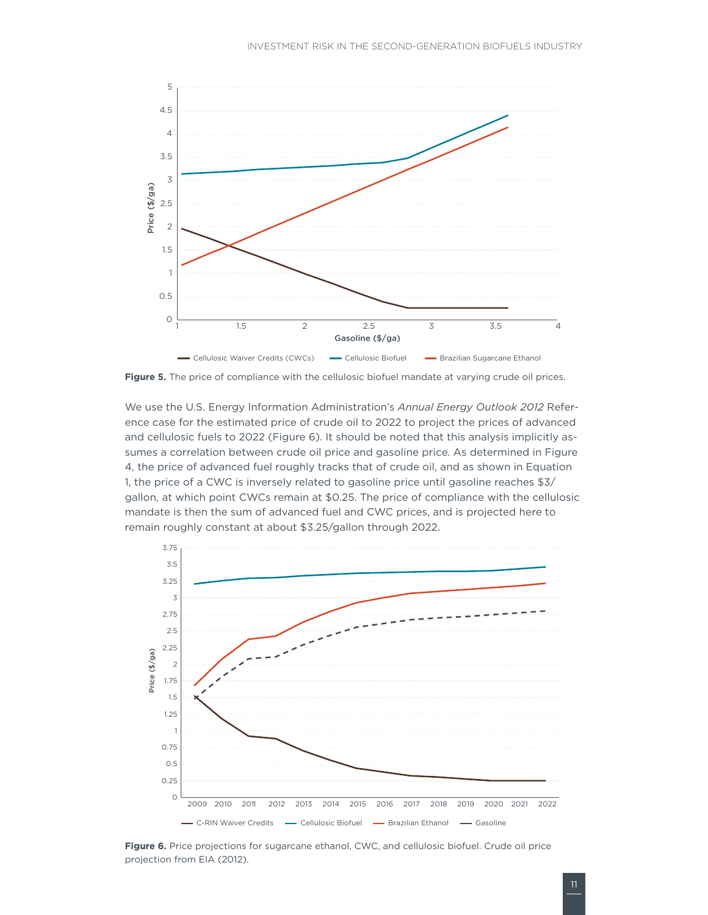

**Figure 5.** The price of compliance with the cellulosic biofuel mandate at varying crude oil prices.

We use the U.S. Energy Information Administration's *Annual Energy Outlook 2012* Reference case for the estimated price of crude oil to 2022 to project the prices of advanced and cellulosic fuels to 2022 (Figure 6). It should be noted that this analysis implicitly assumes a correlation between crude oil price and gasoline price. As determined in Figure 4, the price of advanced fuel roughly tracks that of crude oil, and as shown in Equation 1, the price of a CWC is inversely related to gasoline price until gasoline reaches \$3/ gallon, at which point CWCs remain at \$0.25. The price of compliance with the cellulosic mandate is then the sum of advanced fuel and CWC prices, and is projected here to remain roughly constant at about \$3.25/gallon through 2022.



**Figure 6.** Price projections for sugarcane ethanol, CWC, and cellulosic biofuel. Crude oil price projection from EIA (2012).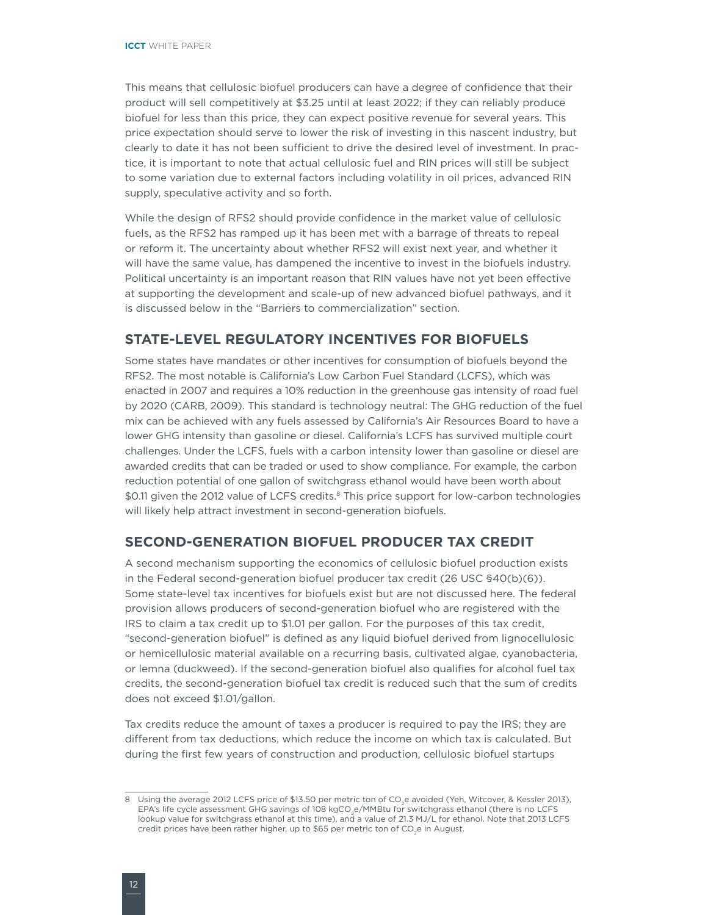<span id="page-15-0"></span>This means that cellulosic biofuel producers can have a degree of confidence that their product will sell competitively at \$3.25 until at least 2022; if they can reliably produce biofuel for less than this price, they can expect positive revenue for several years. This price expectation should serve to lower the risk of investing in this nascent industry, but clearly to date it has not been sufficient to drive the desired level of investment. In practice, it is important to note that actual cellulosic fuel and RIN prices will still be subject to some variation due to external factors including volatility in oil prices, advanced RIN supply, speculative activity and so forth.

While the design of RFS2 should provide confidence in the market value of cellulosic fuels, as the RFS2 has ramped up it has been met with a barrage of threats to repeal or reform it. The uncertainty about whether RFS2 will exist next year, and whether it will have the same value, has dampened the incentive to invest in the biofuels industry. Political uncertainty is an important reason that RIN values have not yet been effective at supporting the development and scale-up of new advanced biofuel pathways, and it is discussed below in the "Barriers to commercialization" section.

### **STATE-LEVEL REGULATORY INCENTIVES FOR BIOFUELS**

Some states have mandates or other incentives for consumption of biofuels beyond the RFS2. The most notable is California's Low Carbon Fuel Standard (LCFS), which was enacted in 2007 and requires a 10% reduction in the greenhouse gas intensity of road fuel by 2020 (CARB, 2009). This standard is technology neutral: The GHG reduction of the fuel mix can be achieved with any fuels assessed by California's Air Resources Board to have a lower GHG intensity than gasoline or diesel. California's LCFS has survived multiple court challenges. Under the LCFS, fuels with a carbon intensity lower than gasoline or diesel are awarded credits that can be traded or used to show compliance. For example, the carbon reduction potential of one gallon of switchgrass ethanol would have been worth about \$0.11 given the 2012 value of LCFS credits.<sup>8</sup> This price support for low-carbon technologies will likely help attract investment in second-generation biofuels.

### **SECOND-GENERATION BIOFUEL PRODUCER TAX CREDIT**

A second mechanism supporting the economics of cellulosic biofuel production exists in the Federal second-generation biofuel producer tax credit (26 USC §40(b)(6)). Some state-level tax incentives for biofuels exist but are not discussed here. The federal provision allows producers of second-generation biofuel who are registered with the IRS to claim a tax credit up to \$1.01 per gallon. For the purposes of this tax credit, "second-generation biofuel" is defined as any liquid biofuel derived from lignocellulosic or hemicellulosic material available on a recurring basis, cultivated algae, cyanobacteria, or lemna (duckweed). If the second-generation biofuel also qualifies for alcohol fuel tax credits, the second-generation biofuel tax credit is reduced such that the sum of credits does not exceed \$1.01/gallon.

Tax credits reduce the amount of taxes a producer is required to pay the IRS; they are different from tax deductions, which reduce the income on which tax is calculated. But during the first few years of construction and production, cellulosic biofuel startups

<sup>8</sup> Using the average 2012 LCFS price of \$13.50 per metric ton of CO<sub>2</sub>e avoided (Yeh, Witcover, & Kessler 2013), EPA's life cycle assessment GHG savings of 108 kgCO<sub>2</sub>e/MMBtu for switchgrass ethanol (there is no LCFS lookup value for switchgrass ethanol at this time), and a value of 21.3 MJ/L for ethanol. Note that 2013 LCFS credit prices have been rather higher, up to \$65 per metric ton of  $CO<sub>2</sub>e$  in August.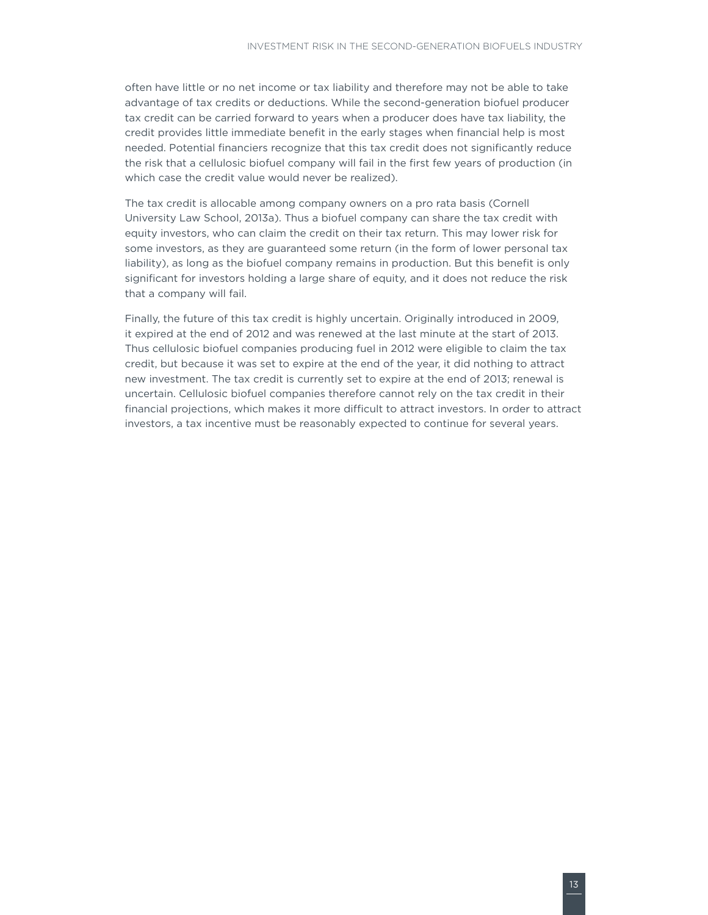often have little or no net income or tax liability and therefore may not be able to take advantage of tax credits or deductions. While the second-generation biofuel producer tax credit can be carried forward to years when a producer does have tax liability, the credit provides little immediate benefit in the early stages when financial help is most needed. Potential financiers recognize that this tax credit does not significantly reduce the risk that a cellulosic biofuel company will fail in the first few years of production (in which case the credit value would never be realized).

The tax credit is allocable among company owners on a pro rata basis (Cornell University Law School, 2013a). Thus a biofuel company can share the tax credit with equity investors, who can claim the credit on their tax return. This may lower risk for some investors, as they are guaranteed some return (in the form of lower personal tax liability), as long as the biofuel company remains in production. But this benefit is only significant for investors holding a large share of equity, and it does not reduce the risk that a company will fail.

Finally, the future of this tax credit is highly uncertain. Originally introduced in 2009, it expired at the end of 2012 and was renewed at the last minute at the start of 2013. Thus cellulosic biofuel companies producing fuel in 2012 were eligible to claim the tax credit, but because it was set to expire at the end of the year, it did nothing to attract new investment. The tax credit is currently set to expire at the end of 2013; renewal is uncertain. Cellulosic biofuel companies therefore cannot rely on the tax credit in their financial projections, which makes it more difficult to attract investors. In order to attract investors, a tax incentive must be reasonably expected to continue for several years.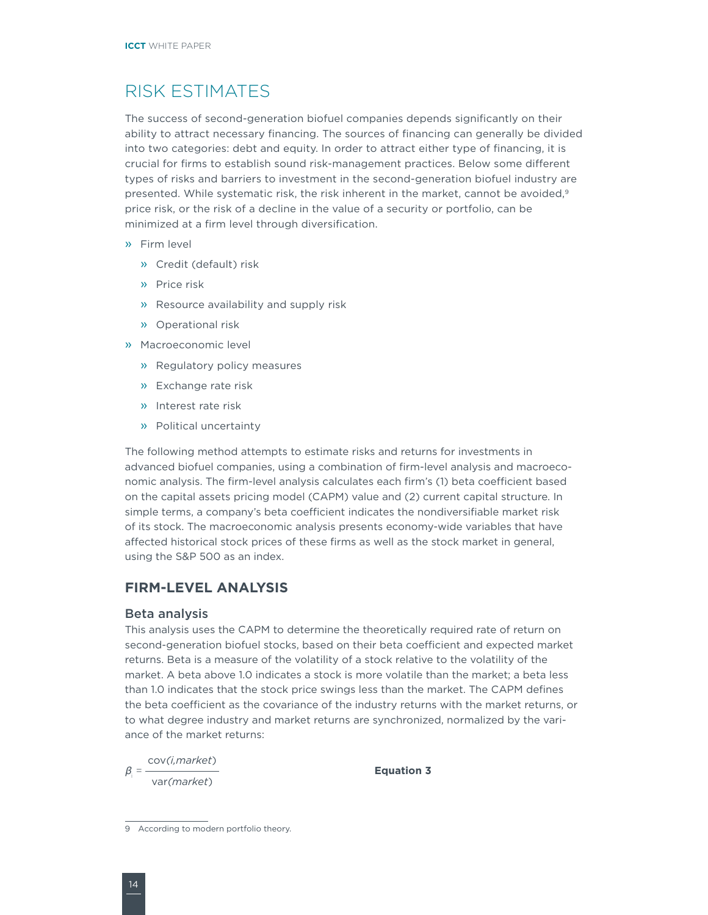### <span id="page-17-0"></span>RISK ESTIMATES

The success of second-generation biofuel companies depends significantly on their ability to attract necessary financing. The sources of financing can generally be divided into two categories: debt and equity. In order to attract either type of financing, it is crucial for firms to establish sound risk-management practices. Below some different types of risks and barriers to investment in the second-generation biofuel industry are presented. While systematic risk, the risk inherent in the market, cannot be avoided,<sup>9</sup> price risk, or the risk of a decline in the value of a security or portfolio, can be minimized at a firm level through diversification.

- » Firm level
	- » Credit (default) risk
	- » Price risk
	- » Resource availability and supply risk
	- » Operational risk
- » Macroeconomic level
	- » Regulatory policy measures
	- » Exchange rate risk
	- » Interest rate risk
	- » Political uncertainty

The following method attempts to estimate risks and returns for investments in advanced biofuel companies, using a combination of firm-level analysis and macroeconomic analysis. The firm-level analysis calculates each firm's (1) beta coefficient based on the capital assets pricing model (CAPM) value and (2) current capital structure. In simple terms, a company's beta coefficient indicates the nondiversifiable market risk of its stock. The macroeconomic analysis presents economy-wide variables that have affected historical stock prices of these firms as well as the stock market in general, using the S&P 500 as an index.

### **FIRM-LEVEL ANALYSIS**

### Beta analysis

This analysis uses the CAPM to determine the theoretically required rate of return on second-generation biofuel stocks, based on their beta coefficient and expected market returns. Beta is a measure of the volatility of a stock relative to the volatility of the market. A beta above 1.0 indicates a stock is more volatile than the market; a beta less than 1.0 indicates that the stock price swings less than the market. The CAPM defines the beta coefficient as the covariance of the industry returns with the market returns, or to what degree industry and market returns are synchronized, normalized by the variance of the market returns:

 $\beta$ <sub>i</sub> = - = cov*(i,market*) var*(market*)

**Equation 3**

<sup>9</sup> According to modern portfolio theory.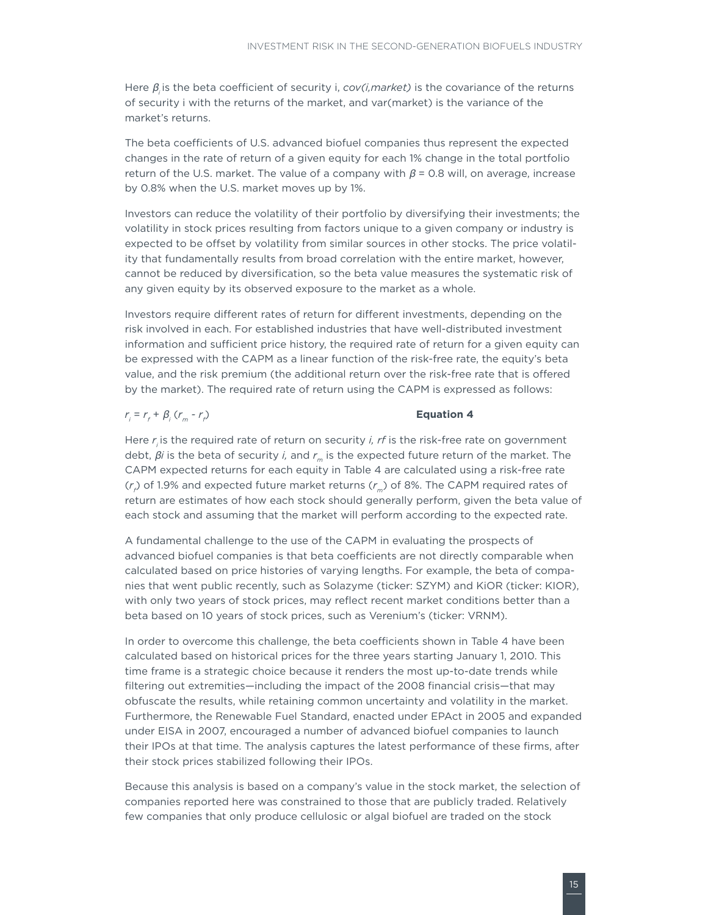Here  $\beta_i$  is the beta coefficient of security i, *cov(i, market)* is the covariance of the returns of security i with the returns of the market, and var(market) is the variance of the market's returns.

The beta coefficients of U.S. advanced biofuel companies thus represent the expected changes in the rate of return of a given equity for each 1% change in the total portfolio return of the U.S. market. The value of a company with  $\beta$  = 0.8 will, on average, increase by 0.8% when the U.S. market moves up by 1%.

Investors can reduce the volatility of their portfolio by diversifying their investments; the volatility in stock prices resulting from factors unique to a given company or industry is expected to be offset by volatility from similar sources in other stocks. The price volatility that fundamentally results from broad correlation with the entire market, however, cannot be reduced by diversification, so the beta value measures the systematic risk of any given equity by its observed exposure to the market as a whole.

Investors require different rates of return for different investments, depending on the risk involved in each. For established industries that have well-distributed investment information and sufficient price history, the required rate of return for a given equity can be expressed with the CAPM as a linear function of the risk-free rate, the equity's beta value, and the risk premium (the additional return over the risk-free rate that is offered by the market). The required rate of return using the CAPM is expressed as follows:

### $r_i = r_f + \beta_i (r_m - r_f)$

#### ) **Equation 4**

Here *r*<sub>i</sub> is the required rate of return on security *i, rf* is the risk-free rate on government debt,  $\beta$ *i* is the beta of security *i*, and  $r_m$  is the expected future return of the market. The CAPM expected returns for each equity in Table 4 are calculated using a risk-free rate (*r<sub>f</sub>*) of 1.9% and expected future market returns (*r<sub>m</sub>*) of 8%. The CAPM required rates of return are estimates of how each stock should generally perform, given the beta value of each stock and assuming that the market will perform according to the expected rate.

A fundamental challenge to the use of the CAPM in evaluating the prospects of advanced biofuel companies is that beta coefficients are not directly comparable when calculated based on price histories of varying lengths. For example, the beta of companies that went public recently, such as Solazyme (ticker: SZYM) and KiOR (ticker: KIOR), with only two years of stock prices, may reflect recent market conditions better than a beta based on 10 years of stock prices, such as Verenium's (ticker: VRNM).

In order to overcome this challenge, the beta coefficients shown in Table 4 have been calculated based on historical prices for the three years starting January 1, 2010. This time frame is a strategic choice because it renders the most up-to-date trends while filtering out extremities—including the impact of the 2008 financial crisis—that may obfuscate the results, while retaining common uncertainty and volatility in the market. Furthermore, the Renewable Fuel Standard, enacted under EPAct in 2005 and expanded under EISA in 2007, encouraged a number of advanced biofuel companies to launch their IPOs at that time. The analysis captures the latest performance of these firms, after their stock prices stabilized following their IPOs.

Because this analysis is based on a company's value in the stock market, the selection of companies reported here was constrained to those that are publicly traded. Relatively few companies that only produce cellulosic or algal biofuel are traded on the stock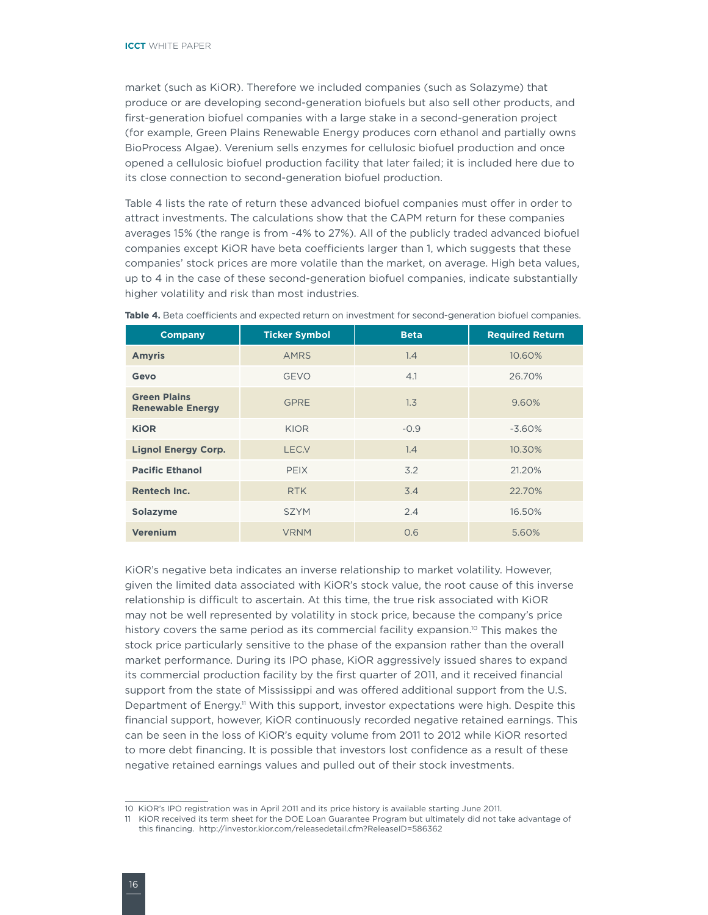market (such as KiOR). Therefore we included companies (such as Solazyme) that produce or are developing second-generation biofuels but also sell other products, and first-generation biofuel companies with a large stake in a second-generation project (for example, Green Plains Renewable Energy produces corn ethanol and partially owns BioProcess Algae). Verenium sells enzymes for cellulosic biofuel production and once opened a cellulosic biofuel production facility that later failed; it is included here due to its close connection to second-generation biofuel production.

Table 4 lists the rate of return these advanced biofuel companies must offer in order to attract investments. The calculations show that the CAPM return for these companies averages 15% (the range is from -4% to 27%). All of the publicly traded advanced biofuel companies except KiOR have beta coefficients larger than 1, which suggests that these companies' stock prices are more volatile than the market, on average. High beta values, up to 4 in the case of these second-generation biofuel companies, indicate substantially higher volatility and risk than most industries.

| <b>Company</b>                                 | <b>Ticker Symbol</b> | <b>Beta</b> | <b>Required Return</b> |  |
|------------------------------------------------|----------------------|-------------|------------------------|--|
| <b>Amyris</b>                                  | <b>AMRS</b>          | 1.4         | 10.60%                 |  |
| Gevo                                           | <b>GEVO</b>          | 4.1         | 26.70%                 |  |
| <b>Green Plains</b><br><b>Renewable Energy</b> | <b>GPRE</b>          | 1.3         | 9.60%                  |  |
| <b>KiOR</b>                                    | <b>KIOR</b>          | $-0.9$      | $-3.60%$               |  |
| <b>Lignol Energy Corp.</b>                     | LEC.V                | 1.4         | 10.30%                 |  |
| <b>Pacific Ethanol</b>                         | <b>PEIX</b>          | 3.2         | 21.20%                 |  |
| <b>Rentech Inc.</b>                            | <b>RTK</b>           | 3.4         | 22.70%                 |  |
| Solazyme                                       | <b>SZYM</b>          | 2.4         | 16.50%                 |  |
| <b>Verenium</b>                                | <b>VRNM</b>          | 0.6         | 5.60%                  |  |

Table 4. Beta coefficients and expected return on investment for second-generation biofuel companies.

KiOR's negative beta indicates an inverse relationship to market volatility. However, given the limited data associated with KiOR's stock value, the root cause of this inverse relationship is difficult to ascertain. At this time, the true risk associated with KiOR may not be well represented by volatility in stock price, because the company's price history covers the same period as its commercial facility expansion.<sup>10</sup> This makes the stock price particularly sensitive to the phase of the expansion rather than the overall market performance. During its IPO phase, KiOR aggressively issued shares to expand its commercial production facility by the first quarter of 2011, and it received financial support from the state of Mississippi and was offered additional support from the U.S. Department of Energy.<sup>11</sup> With this support, investor expectations were high. Despite this financial support, however, KiOR continuously recorded negative retained earnings. This can be seen in the loss of KiOR's equity volume from 2011 to 2012 while KiOR resorted to more debt financing. It is possible that investors lost confidence as a result of these negative retained earnings values and pulled out of their stock investments.

<sup>10</sup> KiOR's IPO registration was in April 2011 and its price history is available starting June 2011.

<sup>11</sup> KiOR received its term sheet for the DOE Loan Guarantee Program but ultimately did not take advantage of this financing. http://investor.kior.com/releasedetail.cfm?ReleaseID=586362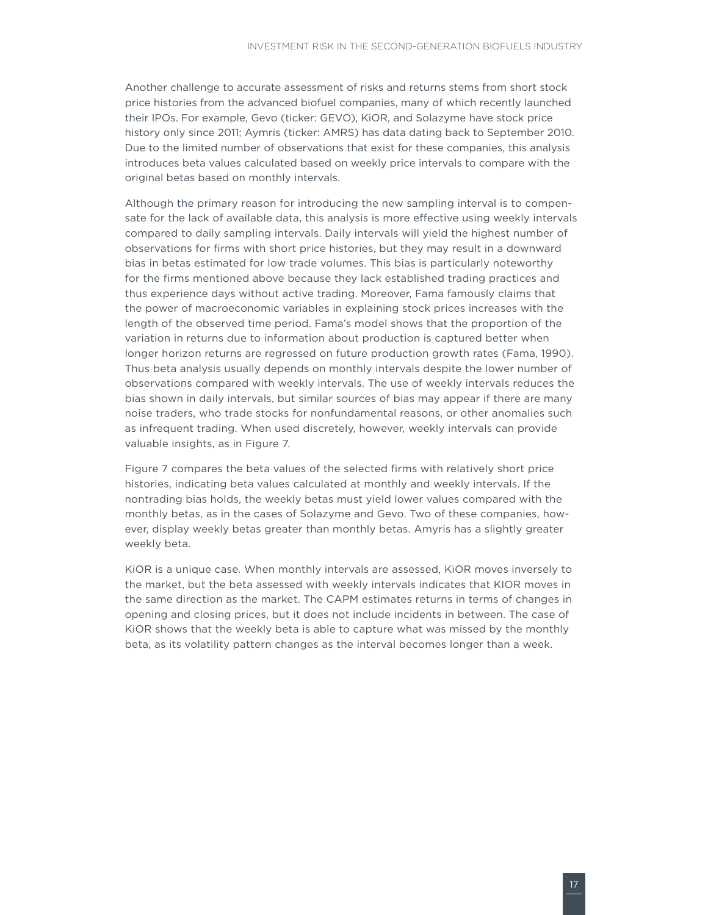Another challenge to accurate assessment of risks and returns stems from short stock price histories from the advanced biofuel companies, many of which recently launched their IPOs. For example, Gevo (ticker: GEVO), KiOR, and Solazyme have stock price history only since 2011; Aymris (ticker: AMRS) has data dating back to September 2010. Due to the limited number of observations that exist for these companies, this analysis introduces beta values calculated based on weekly price intervals to compare with the original betas based on monthly intervals.

Although the primary reason for introducing the new sampling interval is to compensate for the lack of available data, this analysis is more effective using weekly intervals compared to daily sampling intervals. Daily intervals will yield the highest number of observations for firms with short price histories, but they may result in a downward bias in betas estimated for low trade volumes. This bias is particularly noteworthy for the firms mentioned above because they lack established trading practices and thus experience days without active trading. Moreover, Fama famously claims that the power of macroeconomic variables in explaining stock prices increases with the length of the observed time period. Fama's model shows that the proportion of the variation in returns due to information about production is captured better when longer horizon returns are regressed on future production growth rates (Fama, 1990). Thus beta analysis usually depends on monthly intervals despite the lower number of observations compared with weekly intervals. The use of weekly intervals reduces the bias shown in daily intervals, but similar sources of bias may appear if there are many noise traders, who trade stocks for nonfundamental reasons, or other anomalies such as infrequent trading. When used discretely, however, weekly intervals can provide valuable insights, as in Figure 7.

Figure 7 compares the beta values of the selected firms with relatively short price histories, indicating beta values calculated at monthly and weekly intervals. If the nontrading bias holds, the weekly betas must yield lower values compared with the monthly betas, as in the cases of Solazyme and Gevo. Two of these companies, however, display weekly betas greater than monthly betas. Amyris has a slightly greater weekly beta.

KiOR is a unique case. When monthly intervals are assessed, KiOR moves inversely to the market, but the beta assessed with weekly intervals indicates that KIOR moves in the same direction as the market. The CAPM estimates returns in terms of changes in opening and closing prices, but it does not include incidents in between. The case of KiOR shows that the weekly beta is able to capture what was missed by the monthly beta, as its volatility pattern changes as the interval becomes longer than a week.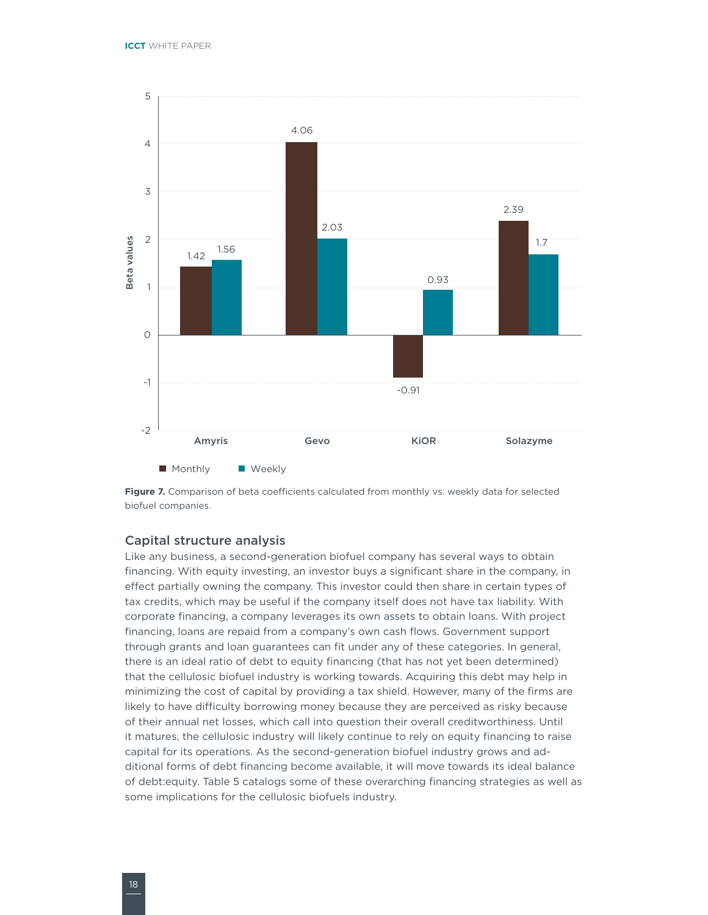

Figure 7. Comparison of beta coefficients calculated from monthly vs. weekly data for selected biofuel companies.

### Capital structure analysis

Like any business, a second-generation biofuel company has several ways to obtain financing. With equity investing, an investor buys a significant share in the company, in effect partially owning the company. This investor could then share in certain types of tax credits, which may be useful if the company itself does not have tax liability. With corporate financing, a company leverages its own assets to obtain loans. With project financing, loans are repaid from a company's own cash flows. Government support through grants and loan guarantees can fit under any of these categories. In general, there is an ideal ratio of debt to equity financing (that has not yet been determined) that the cellulosic biofuel industry is working towards. Acquiring this debt may help in minimizing the cost of capital by providing a tax shield. However, many of the firms are likely to have difficulty borrowing money because they are perceived as risky because of their annual net losses, which call into question their overall creditworthiness. Until it matures, the cellulosic industry will likely continue to rely on equity financing to raise capital for its operations. As the second-generation biofuel industry grows and additional forms of debt financing become available, it will move towards its ideal balance of debt:equity. Table 5 catalogs some of these overarching financing strategies as well as some implications for the cellulosic biofuels industry.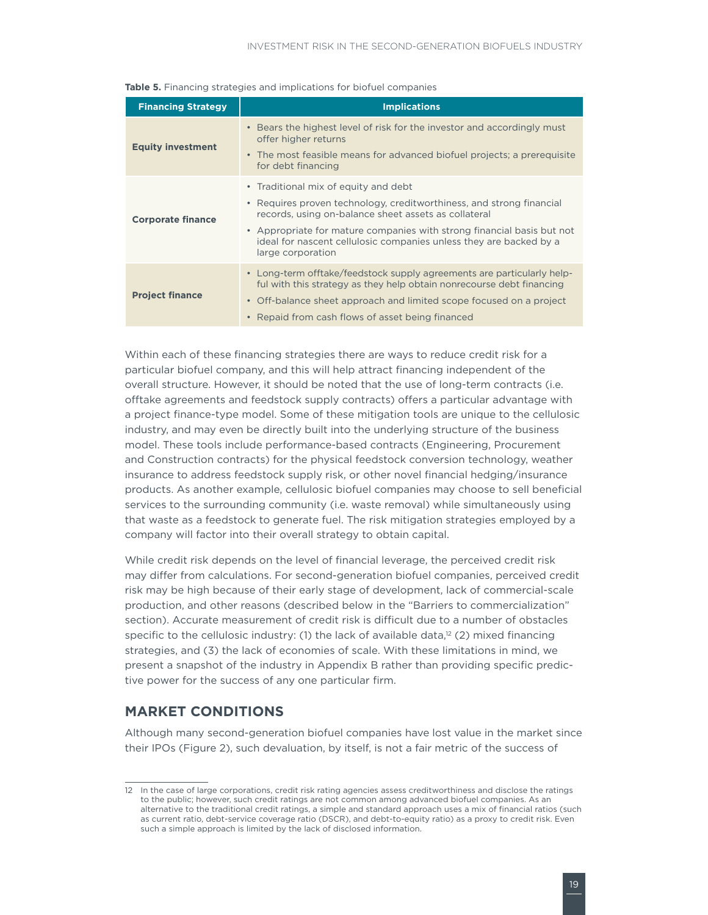| <b>Financing Strategy</b> | <b>Implications</b>                                                                                                                                                                                                                                                                                                                       |
|---------------------------|-------------------------------------------------------------------------------------------------------------------------------------------------------------------------------------------------------------------------------------------------------------------------------------------------------------------------------------------|
| <b>Equity investment</b>  | • Bears the highest level of risk for the investor and accordingly must<br>offer higher returns<br>• The most feasible means for advanced biofuel projects; a prerequisite<br>for debt financing                                                                                                                                          |
| <b>Corporate finance</b>  | • Traditional mix of equity and debt<br>• Requires proven technology, creditworthiness, and strong financial<br>records, using on-balance sheet assets as collateral<br>• Appropriate for mature companies with strong financial basis but not<br>ideal for nascent cellulosic companies unless they are backed by a<br>large corporation |
| <b>Project finance</b>    | • Long-term offtake/feedstock supply agreements are particularly help-<br>ful with this strategy as they help obtain nonrecourse debt financing<br>• Off-balance sheet approach and limited scope focused on a project<br>• Repaid from cash flows of asset being financed                                                                |

**Table 5.** Financing strategies and implications for biofuel companies

Within each of these financing strategies there are ways to reduce credit risk for a particular biofuel company, and this will help attract financing independent of the overall structure. However, it should be noted that the use of long-term contracts (i.e. offtake agreements and feedstock supply contracts) offers a particular advantage with a project finance-type model. Some of these mitigation tools are unique to the cellulosic industry, and may even be directly built into the underlying structure of the business model. These tools include performance-based contracts (Engineering, Procurement and Construction contracts) for the physical feedstock conversion technology, weather insurance to address feedstock supply risk, or other novel financial hedging/insurance products. As another example, cellulosic biofuel companies may choose to sell beneficial services to the surrounding community (i.e. waste removal) while simultaneously using that waste as a feedstock to generate fuel. The risk mitigation strategies employed by a company will factor into their overall strategy to obtain capital.

While credit risk depends on the level of financial leverage, the perceived credit risk may differ from calculations. For second-generation biofuel companies, perceived credit risk may be high because of their early stage of development, lack of commercial-scale production, and other reasons (described below in the "Barriers to commercialization" section). Accurate measurement of credit risk is difficult due to a number of obstacles specific to the cellulosic industry: (1) the lack of available data, $12$  (2) mixed financing strategies, and (3) the lack of economies of scale. With these limitations in mind, we present a snapshot of the industry in Appendix B rather than providing specific predictive power for the success of any one particular firm.

### **MARKET CONDITIONS**

Although many second-generation biofuel companies have lost value in the market since their IPOs (Figure 2), such devaluation, by itself, is not a fair metric of the success of

<sup>12</sup> In the case of large corporations, credit risk rating agencies assess creditworthiness and disclose the ratings to the public; however, such credit ratings are not common among advanced biofuel companies. As an alternative to the traditional credit ratings, a simple and standard approach uses a mix of financial ratios (such as current ratio, debt-service coverage ratio (DSCR), and debt-to-equity ratio) as a proxy to credit risk. Even such a simple approach is limited by the lack of disclosed information.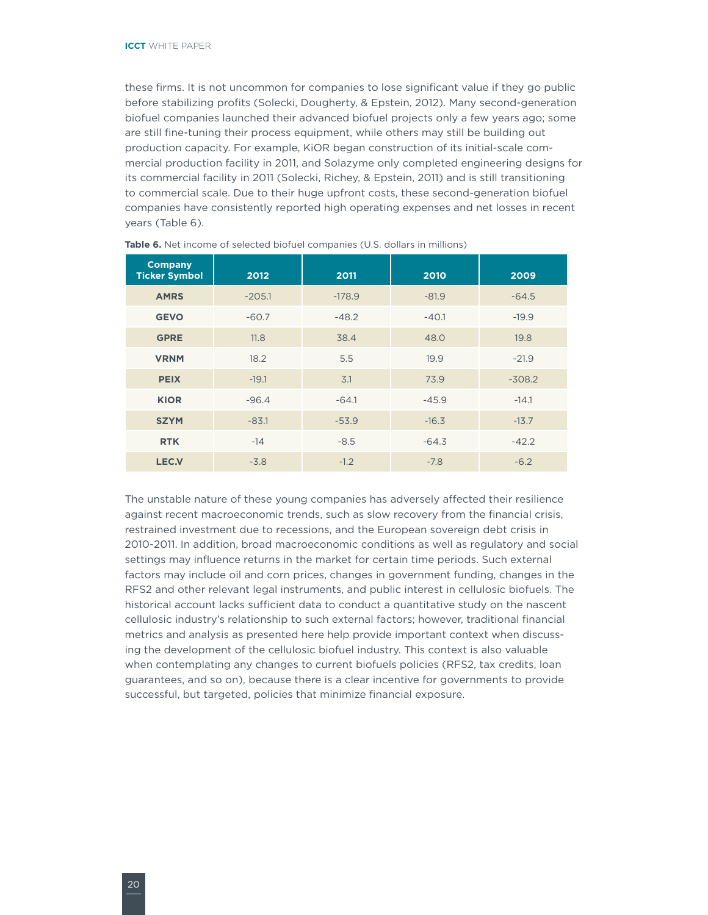<span id="page-23-0"></span>these firms. It is not uncommon for companies to lose significant value if they go public before stabilizing profits (Solecki, Dougherty, & Epstein, 2012). Many second-generation biofuel companies launched their advanced biofuel projects only a few years ago; some are still fine-tuning their process equipment, while others may still be building out production capacity. For example, KiOR began construction of its initial-scale commercial production facility in 2011, and Solazyme only completed engineering designs for its commercial facility in 2011 (Solecki, Richey, & Epstein, 2011) and is still transitioning to commercial scale. Due to their huge upfront costs, these second-generation biofuel companies have consistently reported high operating expenses and net losses in recent years (Table 6).

| <b>Company</b><br><b>Ticker Symbol</b> | 2012     | 2011     | 2010    | 2009     |  |
|----------------------------------------|----------|----------|---------|----------|--|
| <b>AMRS</b>                            | $-205.1$ | $-178.9$ | $-81.9$ | $-64.5$  |  |
| <b>GEVO</b>                            | $-60.7$  | $-48.2$  | $-40.1$ | $-19.9$  |  |
| <b>GPRE</b>                            | 11.8     | 38.4     | 48.0    | 19.8     |  |
| <b>VRNM</b>                            | 18.2     | 5.5      | 19.9    | $-21.9$  |  |
| <b>PEIX</b>                            | $-19.1$  | 3.1      | 73.9    | $-308.2$ |  |
| <b>KIOR</b>                            | $-96.4$  | $-64.1$  | $-45.9$ | $-14.1$  |  |
| <b>SZYM</b>                            | $-83.1$  | $-53.9$  | $-16.3$ | $-13.7$  |  |
| <b>RTK</b>                             | $-14$    | $-8.5$   | $-64.3$ | $-42.2$  |  |
| <b>LEC.V</b>                           | $-3.8$   | $-1.2$   | $-7.8$  | $-6.2$   |  |

**Table 6.** Net income of selected biofuel companies (U.S. dollars in millions)

The unstable nature of these young companies has adversely affected their resilience against recent macroeconomic trends, such as slow recovery from the financial crisis, restrained investment due to recessions, and the European sovereign debt crisis in 2010-2011. In addition, broad macroeconomic conditions as well as regulatory and social settings may influence returns in the market for certain time periods. Such external factors may include oil and corn prices, changes in government funding, changes in the RFS2 and other relevant legal instruments, and public interest in cellulosic biofuels. The historical account lacks sufficient data to conduct a quantitative study on the nascent cellulosic industry's relationship to such external factors; however, traditional financial metrics and analysis as presented here help provide important context when discussing the development of the cellulosic biofuel industry. This context is also valuable when contemplating any changes to current biofuels policies (RFS2, tax credits, loan guarantees, and so on), because there is a clear incentive for governments to provide successful, but targeted, policies that minimize financial exposure.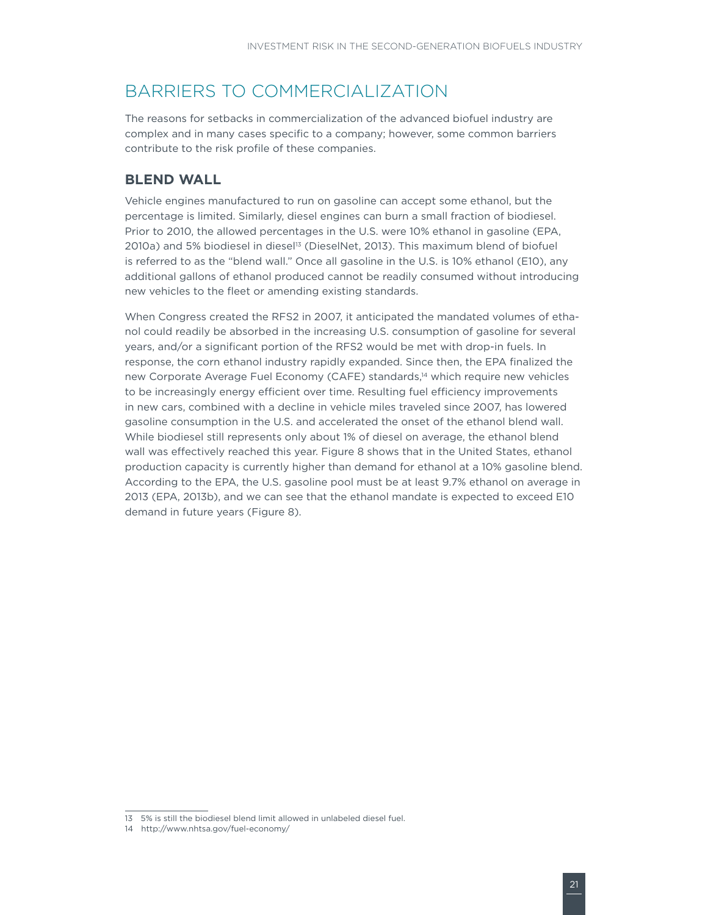### <span id="page-24-0"></span>BARRIERS TO COMMERCIALIZATION

The reasons for setbacks in commercialization of the advanced biofuel industry are complex and in many cases specific to a company; however, some common barriers contribute to the risk profile of these companies.

### **BLEND WALL**

Vehicle engines manufactured to run on gasoline can accept some ethanol, but the percentage is limited. Similarly, diesel engines can burn a small fraction of biodiesel. Prior to 2010, the allowed percentages in the U.S. were 10% ethanol in gasoline (EPA, 2010a) and 5% biodiesel in diesel<sup>13</sup> (DieselNet, 2013). This maximum blend of biofuel is referred to as the "blend wall." Once all gasoline in the U.S. is 10% ethanol (E10), any additional gallons of ethanol produced cannot be readily consumed without introducing new vehicles to the fleet or amending existing standards.

When Congress created the RFS2 in 2007, it anticipated the mandated volumes of ethanol could readily be absorbed in the increasing U.S. consumption of gasoline for several years, and/or a significant portion of the RFS2 would be met with drop-in fuels. In response, the corn ethanol industry rapidly expanded. Since then, the EPA finalized the new Corporate Average Fuel Economy (CAFE) standards,<sup>14</sup> which require new vehicles to be increasingly energy efficient over time. Resulting fuel efficiency improvements in new cars, combined with a decline in vehicle miles traveled since 2007, has lowered gasoline consumption in the U.S. and accelerated the onset of the ethanol blend wall. While biodiesel still represents only about 1% of diesel on average, the ethanol blend wall was effectively reached this year. Figure 8 shows that in the United States, ethanol production capacity is currently higher than demand for ethanol at a 10% gasoline blend. According to the EPA, the U.S. gasoline pool must be at least 9.7% ethanol on average in 2013 (EPA, 2013b), and we can see that the ethanol mandate is expected to exceed E10 demand in future years (Figure 8).

<sup>13</sup> 5% is still the biodiesel blend limit allowed in unlabeled diesel fuel.

<sup>14</sup> http://www.nhtsa.gov/fuel-economy/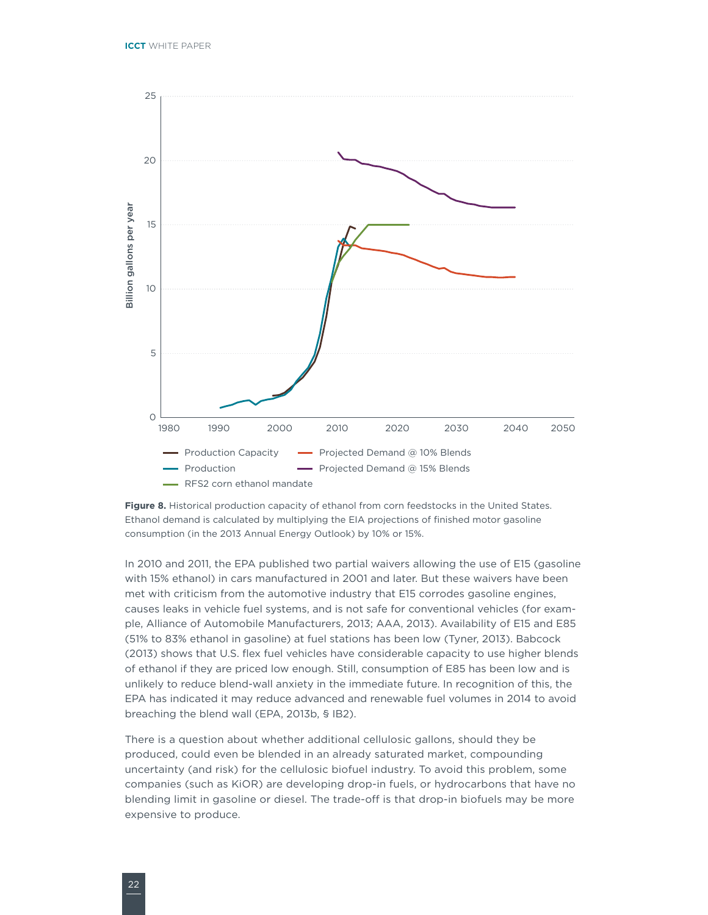



In 2010 and 2011, the EPA published two partial waivers allowing the use of E15 (gasoline with 15% ethanol) in cars manufactured in 2001 and later. But these waivers have been met with criticism from the automotive industry that E15 corrodes gasoline engines, causes leaks in vehicle fuel systems, and is not safe for conventional vehicles (for example, Alliance of Automobile Manufacturers, 2013; AAA, 2013). Availability of E15 and E85 (51% to 83% ethanol in gasoline) at fuel stations has been low (Tyner, 2013). Babcock (2013) shows that U.S. flex fuel vehicles have considerable capacity to use higher blends of ethanol if they are priced low enough. Still, consumption of E85 has been low and is unlikely to reduce blend-wall anxiety in the immediate future. In recognition of this, the EPA has indicated it may reduce advanced and renewable fuel volumes in 2014 to avoid breaching the blend wall (EPA, 2013b, § IB2).

There is a question about whether additional cellulosic gallons, should they be produced, could even be blended in an already saturated market, compounding uncertainty (and risk) for the cellulosic biofuel industry. To avoid this problem, some companies (such as KiOR) are developing drop-in fuels, or hydrocarbons that have no blending limit in gasoline or diesel. The trade-off is that drop-in biofuels may be more expensive to produce.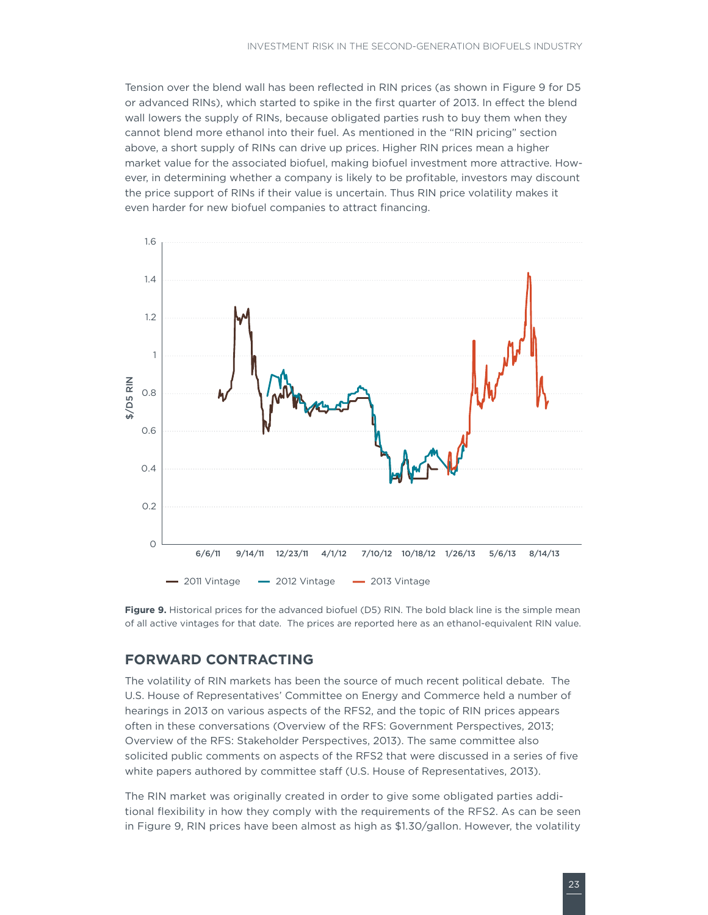<span id="page-26-0"></span>Tension over the blend wall has been reflected in RIN prices (as shown in Figure 9 for D5 or advanced RINs), which started to spike in the first quarter of 2013. In effect the blend wall lowers the supply of RINs, because obligated parties rush to buy them when they cannot blend more ethanol into their fuel. As mentioned in the "RIN pricing" section above, a short supply of RINs can drive up prices. Higher RIN prices mean a higher market value for the associated biofuel, making biofuel investment more attractive. However, in determining whether a company is likely to be profitable, investors may discount the price support of RINs if their value is uncertain. Thus RIN price volatility makes it even harder for new biofuel companies to attract financing.



**Figure 9.** Historical prices for the advanced biofuel (D5) RIN. The bold black line is the simple mean of all active vintages for that date. The prices are reported here as an ethanol-equivalent RIN value.

### **FORWARD CONTRACTING**

The volatility of RIN markets has been the source of much recent political debate. The U.S. House of Representatives' Committee on Energy and Commerce held a number of hearings in 2013 on various aspects of the RFS2, and the topic of RIN prices appears often in these conversations (Overview of the RFS: Government Perspectives, 2013; Overview of the RFS: Stakeholder Perspectives, 2013). The same committee also solicited public comments on aspects of the RFS2 that were discussed in a series of five white papers authored by committee staff (U.S. House of Representatives, 2013).

The RIN market was originally created in order to give some obligated parties additional flexibility in how they comply with the requirements of the RFS2. As can be seen in Figure 9, RIN prices have been almost as high as \$1.30/gallon. However, the volatility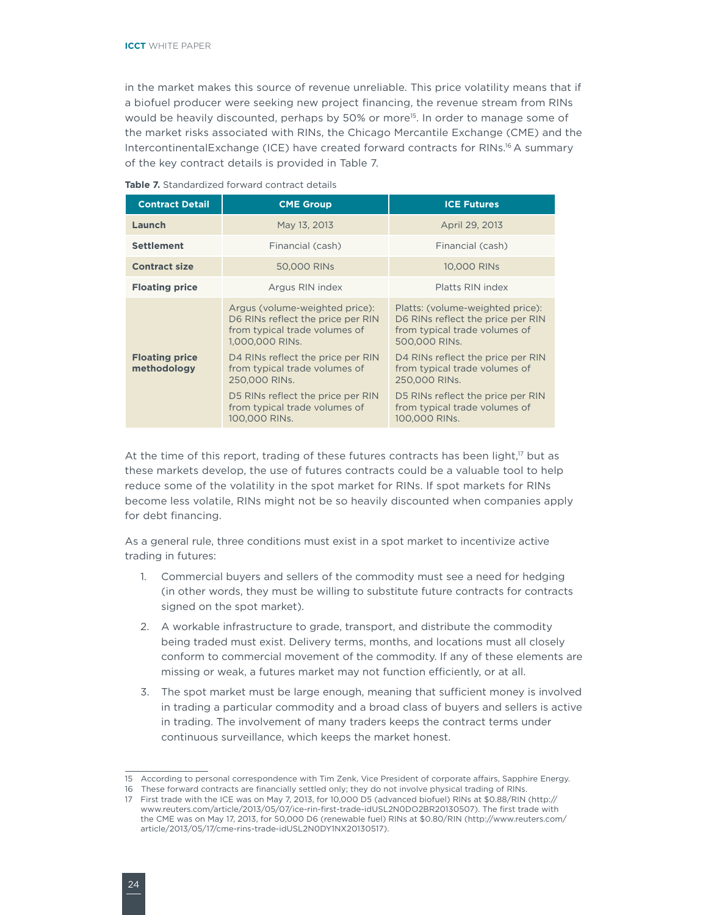in the market makes this source of revenue unreliable. This price volatility means that if a biofuel producer were seeking new project financing, the revenue stream from RINs would be heavily discounted, perhaps by 50% or more<sup>15</sup>. In order to manage some of the market risks associated with RINs, the Chicago Mercantile Exchange (CME) and the IntercontinentalExchange (ICE) have created forward contracts for RINs.16 A summary of the key contract details is provided in Table 7.

| <b>Contract Detail</b> | <b>CME Group</b>                                                                                                                                             | <b>ICE Futures</b>                                                                                                                                           |  |  |
|------------------------|--------------------------------------------------------------------------------------------------------------------------------------------------------------|--------------------------------------------------------------------------------------------------------------------------------------------------------------|--|--|
| Launch                 | May 13, 2013                                                                                                                                                 | April 29, 2013                                                                                                                                               |  |  |
| <b>Settlement</b>      | Financial (cash)                                                                                                                                             | Financial (cash)                                                                                                                                             |  |  |
| <b>Contract size</b>   | 50,000 RINs                                                                                                                                                  | 10,000 RINs                                                                                                                                                  |  |  |
| <b>Floating price</b>  | Argus RIN index                                                                                                                                              | Platts RIN index                                                                                                                                             |  |  |
| <b>Floating price</b>  | Argus (volume-weighted price):<br>D6 RINs reflect the price per RIN<br>from typical trade volumes of<br>1,000,000 RINs.<br>D4 RINs reflect the price per RIN | Platts: (volume-weighted price):<br>D6 RINs reflect the price per RIN<br>from typical trade volumes of<br>500,000 RINs.<br>D4 RINs reflect the price per RIN |  |  |
| methodology            | from typical trade volumes of<br>250,000 RINs.                                                                                                               | from typical trade volumes of<br>250,000 RINs.                                                                                                               |  |  |
|                        | D5 RINs reflect the price per RIN<br>from typical trade volumes of<br>100,000 RINs.                                                                          | D5 RINs reflect the price per RIN<br>from typical trade volumes of<br>100,000 RINS.                                                                          |  |  |

**Table 7.** Standardized forward contract details

At the time of this report, trading of these futures contracts has been light,<sup>17</sup> but as these markets develop, the use of futures contracts could be a valuable tool to help reduce some of the volatility in the spot market for RINs. If spot markets for RINs become less volatile, RINs might not be so heavily discounted when companies apply for debt financing.

As a general rule, three conditions must exist in a spot market to incentivize active trading in futures:

- 1. Commercial buyers and sellers of the commodity must see a need for hedging (in other words, they must be willing to substitute future contracts for contracts signed on the spot market).
- 2. A workable infrastructure to grade, transport, and distribute the commodity being traded must exist. Delivery terms, months, and locations must all closely conform to commercial movement of the commodity. If any of these elements are missing or weak, a futures market may not function efficiently, or at all.
- 3. The spot market must be large enough, meaning that sufficient money is involved in trading a particular commodity and a broad class of buyers and sellers is active in trading. The involvement of many traders keeps the contract terms under continuous surveillance, which keeps the market honest.

<sup>15</sup> According to personal correspondence with Tim Zenk, Vice President of corporate affairs, Sapphire Energy.

<sup>16</sup> These forward contracts are financially settled only; they do not involve physical trading of RINs.

<sup>17</sup> First trade with the ICE was on May 7, 2013, for 10,000 D5 (advanced biofuel) RINs at \$0.88/RIN [\(http://](http://www.reuters.com/article/2013/05/07/ice-rin-first-trade-idUSL2N0DO2BR20130507) [www.reuters.com/article/2013/05/07/ice-rin-first-trade-idUSL2N0DO2BR20130507](http://www.reuters.com/article/2013/05/07/ice-rin-first-trade-idUSL2N0DO2BR20130507)). The first trade with the CME was on May 17, 2013, for 50,000 D6 (renewable fuel) RINs at \$0.80/RIN ([http://www.reuters.com/](http://www.reuters.com/article/2013/05/17/cme-rins-trade-idUSL2N0DY1NX20130517) [article/2013/05/17/cme-rins-trade-idUSL2N0DY1NX20130517\)](http://www.reuters.com/article/2013/05/17/cme-rins-trade-idUSL2N0DY1NX20130517).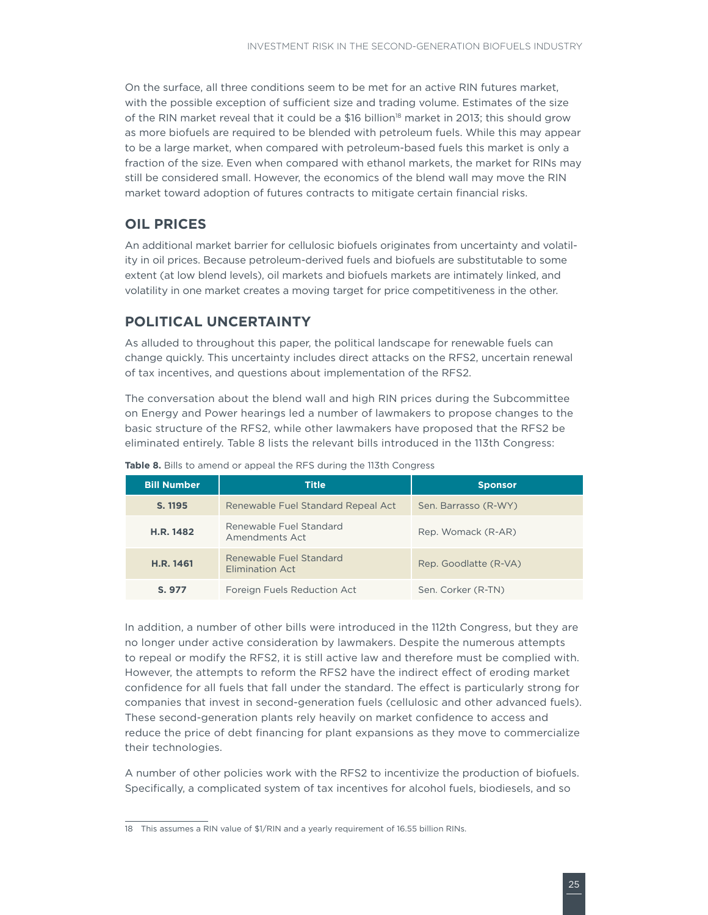<span id="page-28-0"></span>On the surface, all three conditions seem to be met for an active RIN futures market, with the possible exception of sufficient size and trading volume. Estimates of the size of the RIN market reveal that it could be a \$16 billion<sup>18</sup> market in 2013; this should grow as more biofuels are required to be blended with petroleum fuels. While this may appear to be a large market, when compared with petroleum-based fuels this market is only a fraction of the size. Even when compared with ethanol markets, the market for RINs may still be considered small. However, the economics of the blend wall may move the RIN market toward adoption of futures contracts to mitigate certain financial risks.

### **OIL PRICES**

An additional market barrier for cellulosic biofuels originates from uncertainty and volatility in oil prices. Because petroleum-derived fuels and biofuels are substitutable to some extent (at low blend levels), oil markets and biofuels markets are intimately linked, and volatility in one market creates a moving target for price competitiveness in the other.

### **POLITICAL UNCERTAINTY**

As alluded to throughout this paper, the political landscape for renewable fuels can change quickly. This uncertainty includes direct attacks on the RFS2, uncertain renewal of tax incentives, and questions about implementation of the RFS2.

The conversation about the blend wall and high RIN prices during the Subcommittee on Energy and Power hearings led a number of lawmakers to propose changes to the basic structure of the RFS2, while other lawmakers have proposed that the RFS2 be eliminated entirely. Table 8 lists the relevant bills introduced in the 113th Congress:

| <b>Bill Number</b> | <b>Title</b>                               | <b>Sponsor</b>        |
|--------------------|--------------------------------------------|-----------------------|
| S. 1195            | Renewable Fuel Standard Repeal Act         | Sen. Barrasso (R-WY)  |
| H.R. 1482          | Renewable Fuel Standard<br>Amendments Act  | Rep. Womack (R-AR)    |
| H.R. 1461          | Renewable Fuel Standard<br>Elimination Act | Rep. Goodlatte (R-VA) |
| S. 977             | Foreign Fuels Reduction Act                | Sen. Corker (R-TN)    |

|  |  |  |  |  |  | <b>Table 8.</b> Bills to amend or appeal the RFS during the 113th Congress |
|--|--|--|--|--|--|----------------------------------------------------------------------------|

In addition, a number of other bills were introduced in the 112th Congress, but they are no longer under active consideration by lawmakers. Despite the numerous attempts to repeal or modify the RFS2, it is still active law and therefore must be complied with. However, the attempts to reform the RFS2 have the indirect effect of eroding market confidence for all fuels that fall under the standard. The effect is particularly strong for companies that invest in second-generation fuels (cellulosic and other advanced fuels). These second-generation plants rely heavily on market confidence to access and reduce the price of debt financing for plant expansions as they move to commercialize their technologies.

A number of other policies work with the RFS2 to incentivize the production of biofuels. Specifically, a complicated system of tax incentives for alcohol fuels, biodiesels, and so

<sup>18</sup> This assumes a RIN value of \$1/RIN and a yearly requirement of 16.55 billion RINs.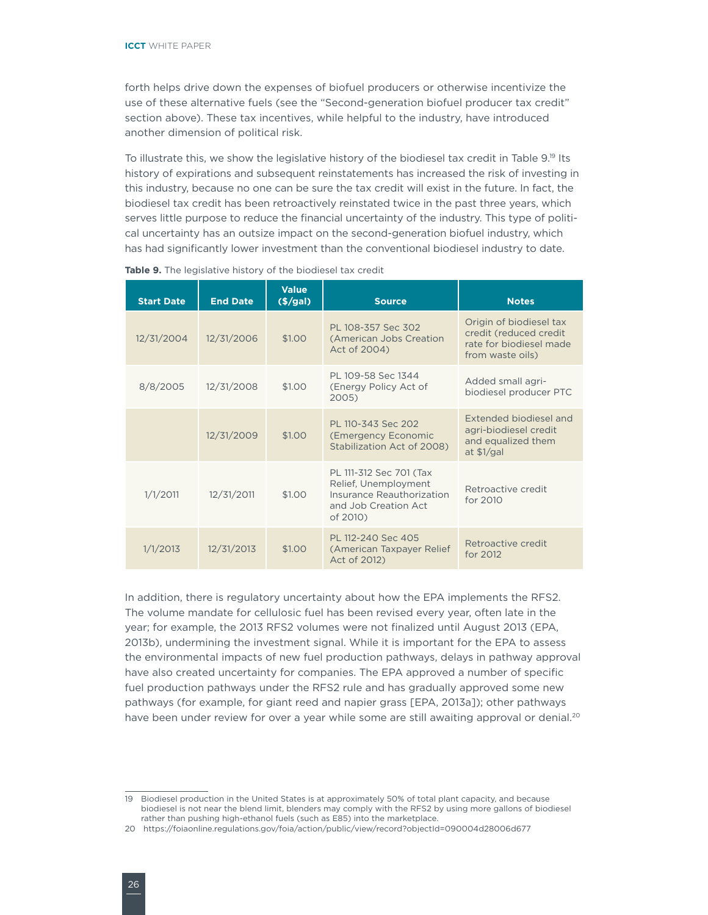forth helps drive down the expenses of biofuel producers or otherwise incentivize the use of these alternative fuels (see the "Second-generation biofuel producer tax credit" section above). These tax incentives, while helpful to the industry, have introduced another dimension of political risk.

To illustrate this, we show the legislative history of the biodiesel tax credit in Table 9.19 Its history of expirations and subsequent reinstatements has increased the risk of investing in this industry, because no one can be sure the tax credit will exist in the future. In fact, the biodiesel tax credit has been retroactively reinstated twice in the past three years, which serves little purpose to reduce the financial uncertainty of the industry. This type of political uncertainty has an outsize impact on the second-generation biofuel industry, which has had significantly lower investment than the conventional biodiesel industry to date.

| <b>Start Date</b> | <b>End Date</b> | <b>Value</b><br>$($ $\frac{2}{9a}$ ) | <b>Source</b>                                                                                                    | <b>Notes</b>                                                                                     |
|-------------------|-----------------|--------------------------------------|------------------------------------------------------------------------------------------------------------------|--------------------------------------------------------------------------------------------------|
| 12/31/2004        | 12/31/2006      | \$1.00                               | PL 108-357 Sec 302<br>(American Jobs Creation<br>Act of 2004)                                                    | Origin of biodiesel tax<br>credit (reduced credit<br>rate for biodiesel made<br>from waste oils) |
| 8/8/2005          | 12/31/2008      | \$1.00                               | PL 109-58 Sec 1344<br>(Energy Policy Act of<br>2005)                                                             | Added small agri-<br>biodiesel producer PTC                                                      |
|                   | 12/31/2009      | \$1.00                               | PL 110-343 Sec 202<br><b>(Emergency Economic</b><br>Stabilization Act of 2008)                                   | Extended biodiesel and<br>agri-biodiesel credit<br>and equalized them<br>at $$1$ /gal            |
| 1/1/2011          | 12/31/2011      | \$1.00                               | PL 111-312 Sec 701 (Tax<br>Relief, Unemployment<br>Insurance Reauthorization<br>and Job Creation Act<br>of 2010) | Retroactive credit<br>for 2010                                                                   |
| 1/1/2013          | 12/31/2013      | \$1.00                               | PL 112-240 Sec 405<br>(American Taxpayer Relief)<br>Act of 2012)                                                 | Retroactive credit<br>for 2012                                                                   |

| Table 9. The legislative history of the biodiesel tax credit |  |  |  |  |  |
|--------------------------------------------------------------|--|--|--|--|--|
|--------------------------------------------------------------|--|--|--|--|--|

In addition, there is regulatory uncertainty about how the EPA implements the RFS2. The volume mandate for cellulosic fuel has been revised every year, often late in the year; for example, the 2013 RFS2 volumes were not finalized until August 2013 (EPA, 2013b), undermining the investment signal. While it is important for the EPA to assess the environmental impacts of new fuel production pathways, delays in pathway approval have also created uncertainty for companies. The EPA approved a number of specific fuel production pathways under the RFS2 rule and has gradually approved some new pathways (for example, for giant reed and napier grass [EPA, 2013a]); other pathways have been under review for over a year while some are still awaiting approval or denial.<sup>20</sup>

<sup>19</sup> Biodiesel production in the United States is at approximately 50% of total plant capacity, and because biodiesel is not near the blend limit, blenders may comply with the RFS2 by using more gallons of biodiesel rather than pushing high-ethanol fuels (such as E85) into the marketplace.

<sup>20</sup> https://foiaonline.regulations.gov/foia/action/public/view/record?objectId=090004d28006d677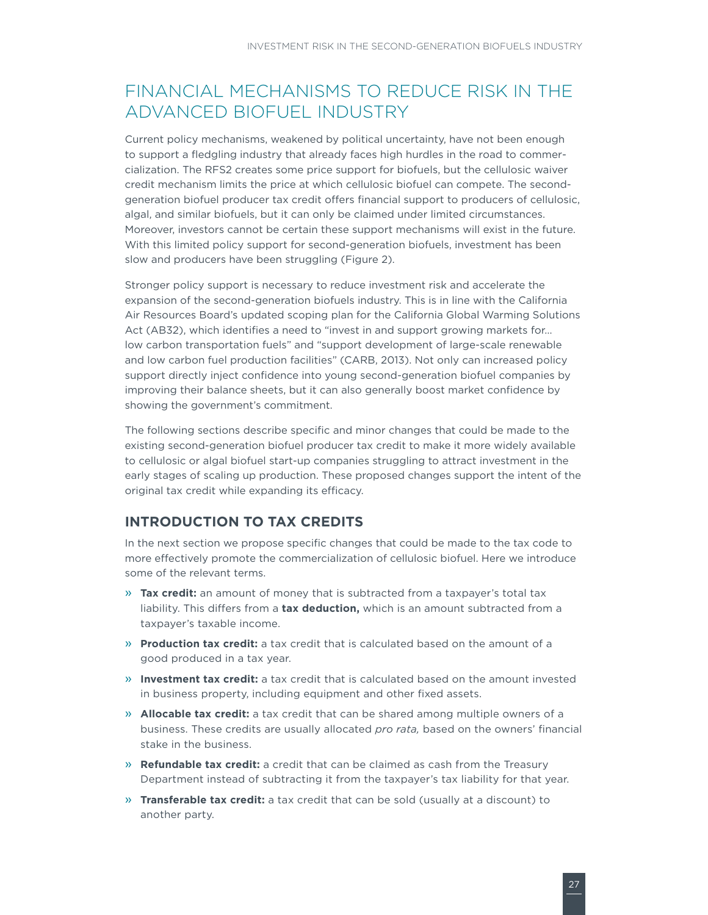### <span id="page-30-0"></span>FINANCIAL MECHANISMS TO REDUCE RISK IN THE ADVANCED BIOFUEL INDUSTRY

Current policy mechanisms, weakened by political uncertainty, have not been enough to support a fledgling industry that already faces high hurdles in the road to commercialization. The RFS2 creates some price support for biofuels, but the cellulosic waiver credit mechanism limits the price at which cellulosic biofuel can compete. The secondgeneration biofuel producer tax credit offers financial support to producers of cellulosic, algal, and similar biofuels, but it can only be claimed under limited circumstances. Moreover, investors cannot be certain these support mechanisms will exist in the future. With this limited policy support for second-generation biofuels, investment has been slow and producers have been struggling (Figure 2).

Stronger policy support is necessary to reduce investment risk and accelerate the expansion of the second-generation biofuels industry. This is in line with the California Air Resources Board's updated scoping plan for the California Global Warming Solutions Act (AB32), which identifies a need to "invest in and support growing markets for… low carbon transportation fuels" and "support development of large-scale renewable and low carbon fuel production facilities" (CARB, 2013). Not only can increased policy support directly inject confidence into young second-generation biofuel companies by improving their balance sheets, but it can also generally boost market confidence by showing the government's commitment.

The following sections describe specific and minor changes that could be made to the existing second-generation biofuel producer tax credit to make it more widely available to cellulosic or algal biofuel start-up companies struggling to attract investment in the early stages of scaling up production. These proposed changes support the intent of the original tax credit while expanding its efficacy.

### **INTRODUCTION TO TAX CREDITS**

In the next section we propose specific changes that could be made to the tax code to more effectively promote the commercialization of cellulosic biofuel. Here we introduce some of the relevant terms.

- » **Tax credit:** an amount of money that is subtracted from a taxpayer's total tax liability. This differs from a **tax deduction,** which is an amount subtracted from a taxpayer's taxable income.
- » **Production tax credit:** a tax credit that is calculated based on the amount of a good produced in a tax year.
- » **Investment tax credit:** a tax credit that is calculated based on the amount invested in business property, including equipment and other fixed assets.
- » **Allocable tax credit:** a tax credit that can be shared among multiple owners of a business. These credits are usually allocated *pro rata,* based on the owners' financial stake in the business.
- » **Refundable tax credit:** a credit that can be claimed as cash from the Treasury Department instead of subtracting it from the taxpayer's tax liability for that year.
- » **Transferable tax credit:** a tax credit that can be sold (usually at a discount) to another party.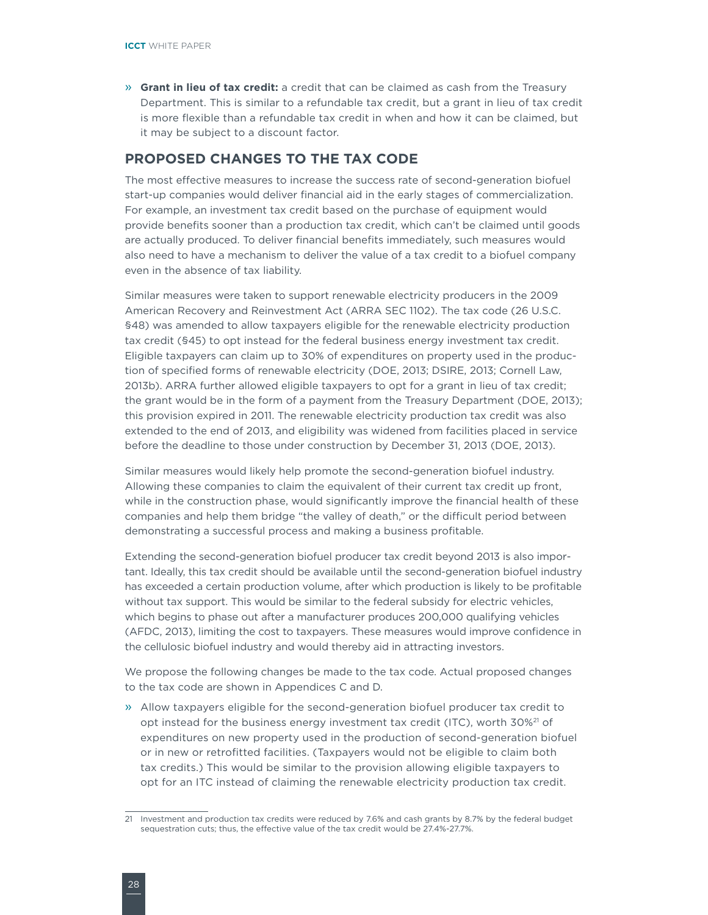<span id="page-31-0"></span> » **Grant in lieu of tax credit:** a credit that can be claimed as cash from the Treasury Department. This is similar to a refundable tax credit, but a grant in lieu of tax credit is more flexible than a refundable tax credit in when and how it can be claimed, but it may be subject to a discount factor.

### **PROPOSED CHANGES TO THE TAX CODE**

The most effective measures to increase the success rate of second-generation biofuel start-up companies would deliver financial aid in the early stages of commercialization. For example, an investment tax credit based on the purchase of equipment would provide benefits sooner than a production tax credit, which can't be claimed until goods are actually produced. To deliver financial benefits immediately, such measures would also need to have a mechanism to deliver the value of a tax credit to a biofuel company even in the absence of tax liability.

Similar measures were taken to support renewable electricity producers in the 2009 American Recovery and Reinvestment Act (ARRA SEC 1102). The tax code (26 U.S.C. §48) was amended to allow taxpayers eligible for the renewable electricity production tax credit (§45) to opt instead for the federal business energy investment tax credit. Eligible taxpayers can claim up to 30% of expenditures on property used in the production of specified forms of renewable electricity (DOE, 2013; DSIRE, 2013; Cornell Law, 2013b). ARRA further allowed eligible taxpayers to opt for a grant in lieu of tax credit; the grant would be in the form of a payment from the Treasury Department (DOE, 2013); this provision expired in 2011. The renewable electricity production tax credit was also extended to the end of 2013, and eligibility was widened from facilities placed in service before the deadline to those under construction by December 31, 2013 (DOE, 2013).

Similar measures would likely help promote the second-generation biofuel industry. Allowing these companies to claim the equivalent of their current tax credit up front, while in the construction phase, would significantly improve the financial health of these companies and help them bridge "the valley of death," or the difficult period between demonstrating a successful process and making a business profitable.

Extending the second-generation biofuel producer tax credit beyond 2013 is also important. Ideally, this tax credit should be available until the second-generation biofuel industry has exceeded a certain production volume, after which production is likely to be profitable without tax support. This would be similar to the federal subsidy for electric vehicles, which begins to phase out after a manufacturer produces 200,000 qualifying vehicles (AFDC, 2013), limiting the cost to taxpayers. These measures would improve confidence in the cellulosic biofuel industry and would thereby aid in attracting investors.

We propose the following changes be made to the tax code. Actual proposed changes to the tax code are shown in Appendices C and D.

 » Allow taxpayers eligible for the second-generation biofuel producer tax credit to opt instead for the business energy investment tax credit (ITC), worth 30%21 of expenditures on new property used in the production of second-generation biofuel or in new or retrofitted facilities. (Taxpayers would not be eligible to claim both tax credits.) This would be similar to the provision allowing eligible taxpayers to opt for an ITC instead of claiming the renewable electricity production tax credit.

<sup>21</sup> Investment and production tax credits were reduced by 7.6% and cash grants by 8.7% by the federal budget sequestration cuts; thus, the effective value of the tax credit would be 27.4%-27.7%.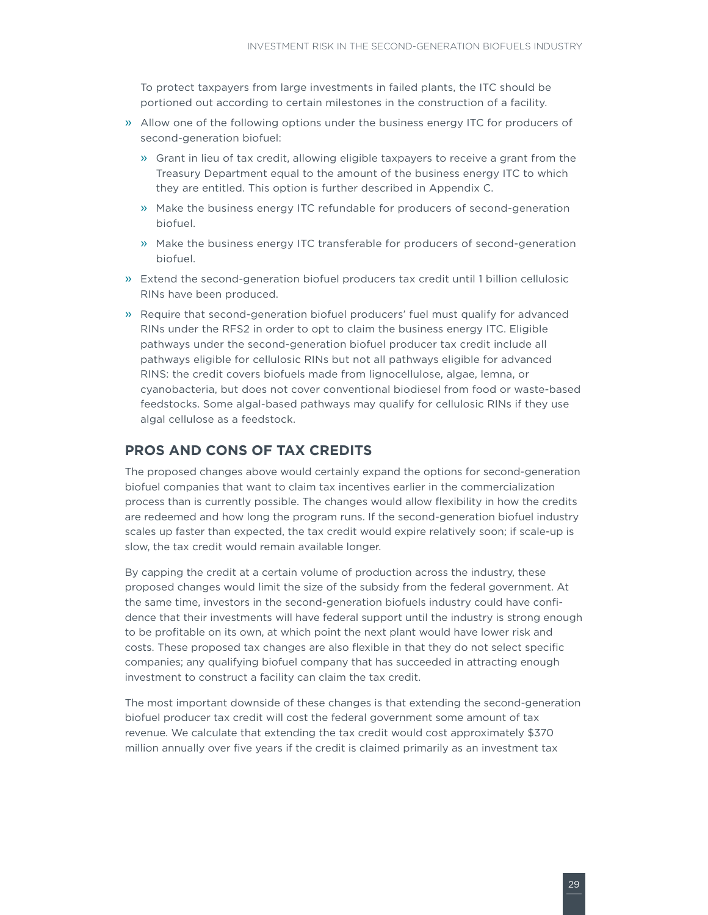<span id="page-32-0"></span>To protect taxpayers from large investments in failed plants, the ITC should be portioned out according to certain milestones in the construction of a facility.

- » Allow one of the following options under the business energy ITC for producers of second-generation biofuel:
	- » Grant in lieu of tax credit, allowing eligible taxpayers to receive a grant from the Treasury Department equal to the amount of the business energy ITC to which they are entitled. This option is further described in Appendix C.
	- » Make the business energy ITC refundable for producers of second-generation biofuel.
	- » Make the business energy ITC transferable for producers of second-generation biofuel.
- » Extend the second-generation biofuel producers tax credit until 1 billion cellulosic RINs have been produced.
- » Require that second-generation biofuel producers' fuel must qualify for advanced RINs under the RFS2 in order to opt to claim the business energy ITC. Eligible pathways under the second-generation biofuel producer tax credit include all pathways eligible for cellulosic RINs but not all pathways eligible for advanced RINS: the credit covers biofuels made from lignocellulose, algae, lemna, or cyanobacteria, but does not cover conventional biodiesel from food or waste-based feedstocks. Some algal-based pathways may qualify for cellulosic RINs if they use algal cellulose as a feedstock.

### **PROS AND CONS OF TAX CREDITS**

The proposed changes above would certainly expand the options for second-generation biofuel companies that want to claim tax incentives earlier in the commercialization process than is currently possible. The changes would allow flexibility in how the credits are redeemed and how long the program runs. If the second-generation biofuel industry scales up faster than expected, the tax credit would expire relatively soon; if scale-up is slow, the tax credit would remain available longer.

By capping the credit at a certain volume of production across the industry, these proposed changes would limit the size of the subsidy from the federal government. At the same time, investors in the second-generation biofuels industry could have confidence that their investments will have federal support until the industry is strong enough to be profitable on its own, at which point the next plant would have lower risk and costs. These proposed tax changes are also flexible in that they do not select specific companies; any qualifying biofuel company that has succeeded in attracting enough investment to construct a facility can claim the tax credit.

The most important downside of these changes is that extending the second-generation biofuel producer tax credit will cost the federal government some amount of tax revenue. We calculate that extending the tax credit would cost approximately \$370 million annually over five years if the credit is claimed primarily as an investment tax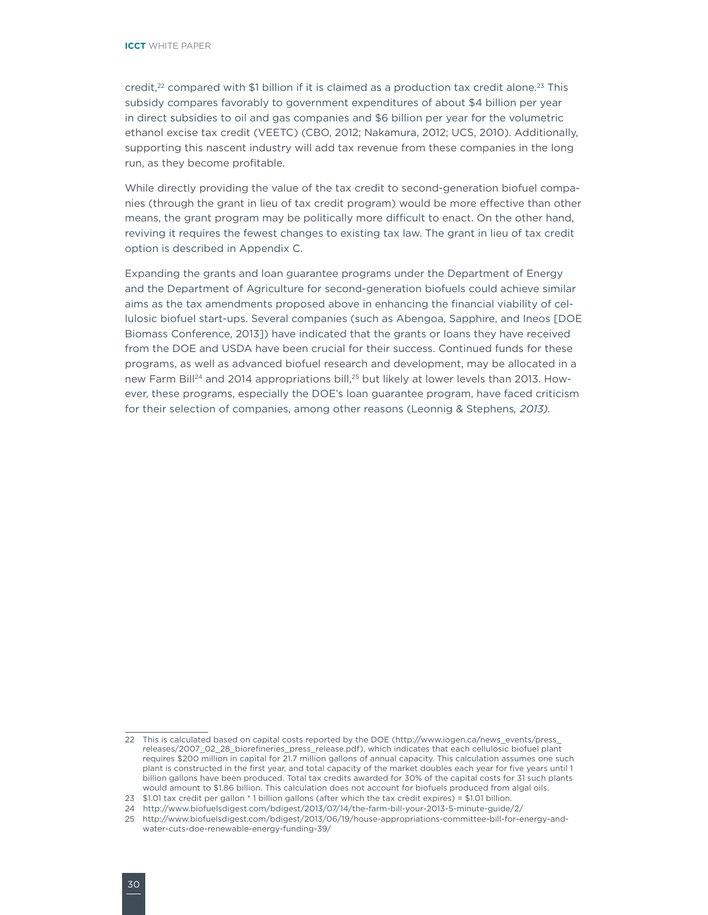credit, $2^2$  compared with \$1 billion if it is claimed as a production tax credit alone. $2^3$  This subsidy compares favorably to government expenditures of about \$4 billion per year in direct subsidies to oil and gas companies and \$6 billion per year for the volumetric ethanol excise tax credit (VEETC) (CBO, 2012; Nakamura, 2012; UCS, 2010). Additionally, supporting this nascent industry will add tax revenue from these companies in the long run, as they become profitable.

While directly providing the value of the tax credit to second-generation biofuel companies (through the grant in lieu of tax credit program) would be more effective than other means, the grant program may be politically more difficult to enact. On the other hand, reviving it requires the fewest changes to existing tax law. The grant in lieu of tax credit option is described in Appendix C.

Expanding the grants and loan guarantee programs under the Department of Energy and the Department of Agriculture for second-generation biofuels could achieve similar aims as the tax amendments proposed above in enhancing the financial viability of cellulosic biofuel start-ups. Several companies (such as Abengoa, Sapphire, and Ineos [DOE Biomass Conference, 2013]) have indicated that the grants or loans they have received from the DOE and USDA have been crucial for their success. Continued funds for these programs, as well as advanced biofuel research and development, may be allocated in a new Farm Bill<sup>24</sup> and 2014 appropriations bill,<sup>25</sup> but likely at lower levels than 2013. However, these programs, especially the DOE's loan guarantee program, have faced criticism for their selection of companies, among other reasons (Leonnig & Stephens*, 2013).* 

<sup>22</sup> This is calculated based on capital costs reported by the DOE [\(http://www.iogen.ca/news\\_events/press\\_](http://www.iogen.ca/news_events/press_releases/2007_02_28_biorefineries_press_release.pdf) [releases/2007\\_02\\_28\\_biorefineries\\_press\\_release.pdf](http://www.iogen.ca/news_events/press_releases/2007_02_28_biorefineries_press_release.pdf)), which indicates that each cellulosic biofuel plant requires \$200 million in capital for 21.7 million gallons of annual capacity. This calculation assumes one such plant is constructed in the first year, and total capacity of the market doubles each year for five years until 1 billion gallons have been produced. Total tax credits awarded for 30% of the capital costs for 31 such plants would amount to \$1.86 billion. This calculation does not account for biofuels produced from algal oils.

<sup>23</sup> \$1.01 tax credit per gallon \* 1 billion gallons (after which the tax credit expires) = \$1.01 billion.

<sup>24</sup> http://www.biofuelsdigest.com/bdigest/2013/07/14/the-farm-bill-your-2013-5-minute-guide/2/

<sup>25</sup> http://www.biofuelsdigest.com/bdigest/2013/06/19/house-appropriations-committee-bill-for-energy-andwater-cuts-doe-renewable-energy-funding-39/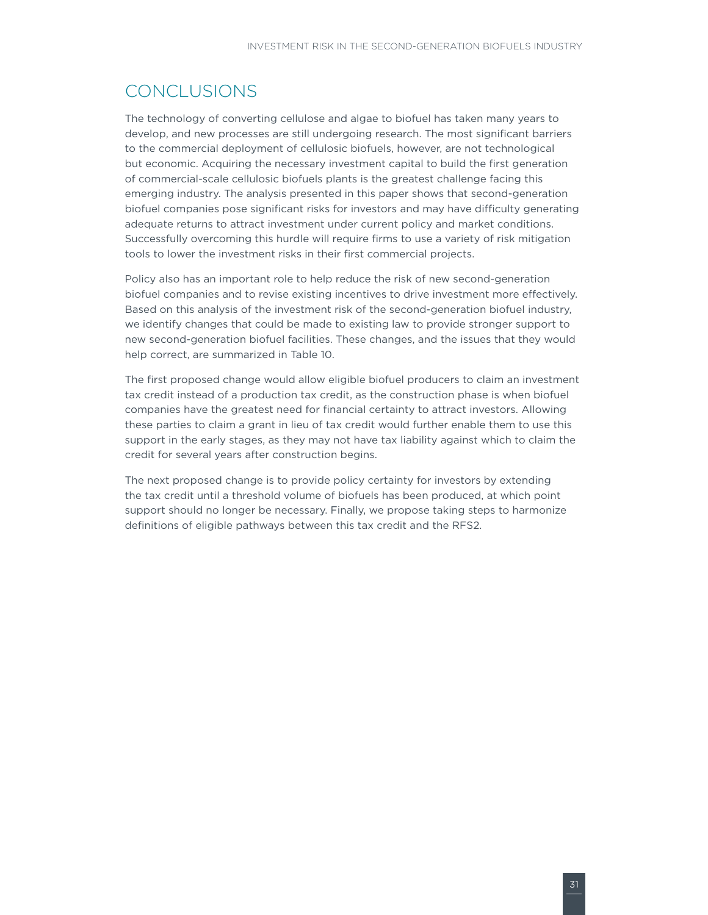### <span id="page-34-0"></span>CONCLUSIONS

The technology of converting cellulose and algae to biofuel has taken many years to develop, and new processes are still undergoing research. The most significant barriers to the commercial deployment of cellulosic biofuels, however, are not technological but economic. Acquiring the necessary investment capital to build the first generation of commercial-scale cellulosic biofuels plants is the greatest challenge facing this emerging industry. The analysis presented in this paper shows that second-generation biofuel companies pose significant risks for investors and may have difficulty generating adequate returns to attract investment under current policy and market conditions. Successfully overcoming this hurdle will require firms to use a variety of risk mitigation tools to lower the investment risks in their first commercial projects.

Policy also has an important role to help reduce the risk of new second-generation biofuel companies and to revise existing incentives to drive investment more effectively. Based on this analysis of the investment risk of the second-generation biofuel industry, we identify changes that could be made to existing law to provide stronger support to new second-generation biofuel facilities. These changes, and the issues that they would help correct, are summarized in Table 10.

The first proposed change would allow eligible biofuel producers to claim an investment tax credit instead of a production tax credit, as the construction phase is when biofuel companies have the greatest need for financial certainty to attract investors. Allowing these parties to claim a grant in lieu of tax credit would further enable them to use this support in the early stages, as they may not have tax liability against which to claim the credit for several years after construction begins.

The next proposed change is to provide policy certainty for investors by extending the tax credit until a threshold volume of biofuels has been produced, at which point support should no longer be necessary. Finally, we propose taking steps to harmonize definitions of eligible pathways between this tax credit and the RFS2.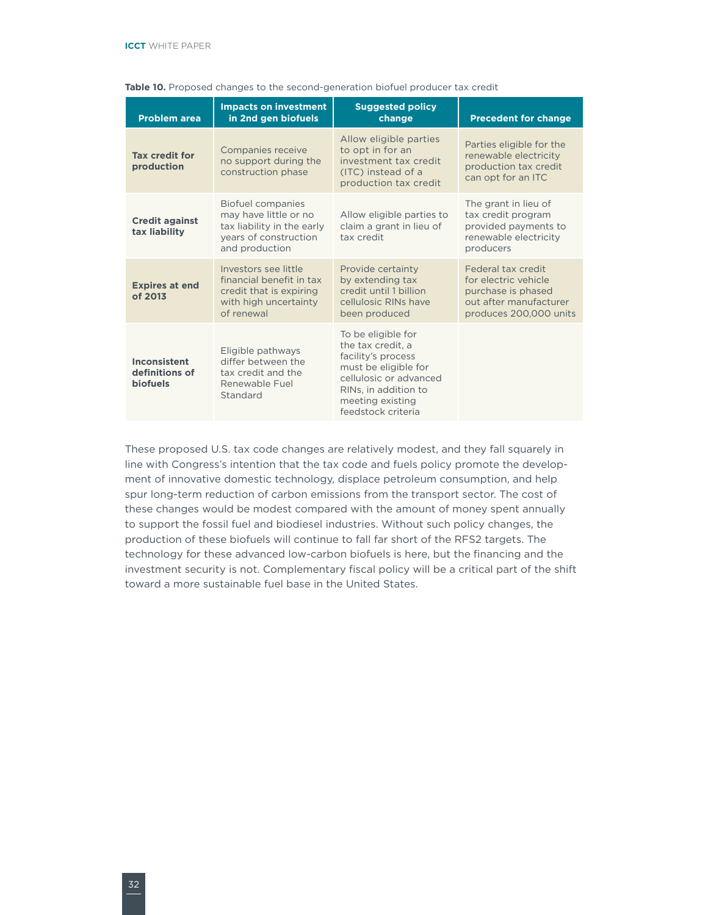| <b>Problem area</b>                               | <b>Impacts on investment</b><br>in 2nd gen biofuels                                                                        | <b>Suggested policy</b><br>change                                                                                                                                                 | <b>Precedent for change</b>                                                                                          |
|---------------------------------------------------|----------------------------------------------------------------------------------------------------------------------------|-----------------------------------------------------------------------------------------------------------------------------------------------------------------------------------|----------------------------------------------------------------------------------------------------------------------|
| <b>Tax credit for</b><br>production               | Companies receive<br>no support during the<br>construction phase                                                           | Allow eligible parties<br>to opt in for an<br>investment tax credit<br>(ITC) instead of a<br>production tax credit                                                                | Parties eligible for the<br>renewable electricity<br>production tax credit<br>can opt for an ITC                     |
| <b>Credit against</b><br>tax liability            | <b>Biofuel companies</b><br>may have little or no<br>tax liability in the early<br>years of construction<br>and production | Allow eligible parties to<br>claim a grant in lieu of<br>tax credit                                                                                                               | The grant in lieu of<br>tax credit program<br>provided payments to<br>renewable electricity<br>producers             |
| <b>Expires at end</b><br>of 2013                  | Investors see little<br>financial benefit in tax<br>credit that is expiring<br>with high uncertainty<br>of renewal         | Provide certainty<br>by extending tax<br>credit until 1 billion<br>cellulosic RINs have<br>been produced                                                                          | Federal tax credit<br>for electric vehicle<br>purchase is phased<br>out after manufacturer<br>produces 200,000 units |
| Inconsistent<br>definitions of<br><b>biofuels</b> | Eligible pathways<br>differ between the<br>tax credit and the<br>Renewable Fuel<br>Standard                                | To be eligible for<br>the tax credit, a<br>facility's process<br>must be eligible for<br>cellulosic or advanced<br>RINs. in addition to<br>meeting existing<br>feedstock criteria |                                                                                                                      |

#### Table 10. Proposed changes to the second-generation biofuel producer tax credit

These proposed U.S. tax code changes are relatively modest, and they fall squarely in line with Congress's intention that the tax code and fuels policy promote the development of innovative domestic technology, displace petroleum consumption, and help spur long-term reduction of carbon emissions from the transport sector. The cost of these changes would be modest compared with the amount of money spent annually to support the fossil fuel and biodiesel industries. Without such policy changes, the production of these biofuels will continue to fall far short of the RFS2 targets. The technology for these advanced low-carbon biofuels is here, but the financing and the investment security is not. Complementary fiscal policy will be a critical part of the shift toward a more sustainable fuel base in the United States.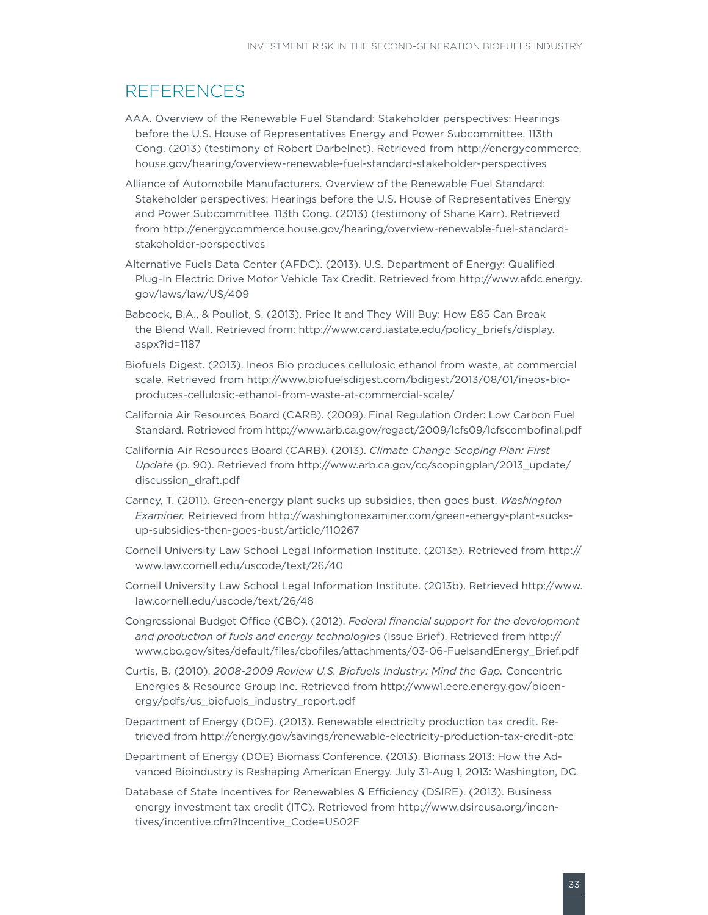### <span id="page-36-0"></span>REFERENCES

- AAA. Overview of the Renewable Fuel Standard: Stakeholder perspectives: Hearings before the U.S. House of Representatives Energy and Power Subcommittee, 113th Cong. (2013) (testimony of Robert Darbelnet). Retrieved from [http://energycommerce.](http://energycommerce.house.gov/hearing/overview-renewable-fuel-standard-stakeholder-perspectives) [house.gov/hearing/overview-renewable-fuel-standard-stakeholder-perspectives](http://energycommerce.house.gov/hearing/overview-renewable-fuel-standard-stakeholder-perspectives)
- Alliance of Automobile Manufacturers. Overview of the Renewable Fuel Standard: Stakeholder perspectives: Hearings before the U.S. House of Representatives Energy and Power Subcommittee, 113th Cong. (2013) (testimony of Shane Karr). Retrieved from [http://energycommerce.house.gov/hearing/overview-renewable-fuel-standard](http://energycommerce.house.gov/hearing/overview-renewable-fuel-standard-stakeholder-perspectives)[stakeholder-perspectives](http://energycommerce.house.gov/hearing/overview-renewable-fuel-standard-stakeholder-perspectives)
- Alternative Fuels Data Center (AFDC). (2013). U.S. Department of Energy: Qualified Plug-In Electric Drive Motor Vehicle Tax Credit. Retrieved from [http://www.afdc.energy.](http://www.afdc.energy.gov/laws/law/US/409) [gov/laws/law/US/409](http://www.afdc.energy.gov/laws/law/US/409)
- Babcock, B.A., & Pouliot, S. (2013). Price It and They Will Buy: How E85 Can Break the Blend Wall. Retrieved from: http://www.card.iastate.edu/policy\_briefs/display. aspx?id=1187
- Biofuels Digest. (2013). Ineos Bio produces cellulosic ethanol from waste, at commercial scale. Retrieved from [http://www.biofuelsdigest.com/bdigest/2013/08/01/ineos-bio](http://www.biofuelsdigest.com/bdigest/2013/08/01/ineos-bio-produces-cellulosic-ethanol-from-waste-at-commercial-scale/)[produces-cellulosic-ethanol-from-waste-at-commercial-scale/](http://www.biofuelsdigest.com/bdigest/2013/08/01/ineos-bio-produces-cellulosic-ethanol-from-waste-at-commercial-scale/)
- California Air Resources Board (CARB). (2009). Final Regulation Order: Low Carbon Fuel Standard. Retrieved from http://www.arb.ca.gov/regact/2009/lcfs09/lcfscombofinal.pdf
- California Air Resources Board (CARB). (2013). *Climate Change Scoping Plan: First Update* (p. 90). Retrieved from [http://www.arb.ca.gov/cc/scopingplan/2013\\_update/](http://www.arb.ca.gov/cc/scopingplan/2013_update/discussion_draft.pdf) [discussion\\_draft.pdf](http://www.arb.ca.gov/cc/scopingplan/2013_update/discussion_draft.pdf)
- Carney, T. (2011). Green-energy plant sucks up subsidies, then goes bust. *Washington Examiner.* Retrieved from http://washingtonexaminer.com/green-energy-plant-sucksup-subsidies-then-goes-bust/article/110267
- Cornell University Law School Legal Information Institute. (2013a). Retrieved from [http://](http://www.law.cornell.edu/uscode/text/26/40) [www.law.cornell.edu/uscode/text/26/40](http://www.law.cornell.edu/uscode/text/26/40)
- Cornell University Law School Legal Information Institute. (2013b). Retrieved http://www. law.cornell.edu/uscode/text/26/48
- Congressional Budget Office (CBO). (2012). *Federal financial support for the development and production of fuels and energy technologies* (Issue Brief). Retrieved from http:// www.cbo.gov/sites/default/files/cbofiles/attachments/03-06-FuelsandEnergy\_Brief.pdf
- Curtis, B. (2010). *2008-2009 Review U.S. Biofuels Industry: Mind the Gap.* Concentric Energies & Resource Group Inc. Retrieved from [http://www1.eere.energy.gov/bioen](http://www1.eere.energy.gov/bioenergy/pdfs/us_biofuels_industry_report.pdf)[ergy/pdfs/us\\_biofuels\\_industry\\_report.pdf](http://www1.eere.energy.gov/bioenergy/pdfs/us_biofuels_industry_report.pdf)
- Department of Energy (DOE). (2013). Renewable electricity production tax credit. Retrieved from http://energy.gov/savings/renewable-electricity-production-tax-credit-ptc
- Department of Energy (DOE) Biomass Conference. (2013). Biomass 2013: How the Advanced Bioindustry is Reshaping American Energy. July 31-Aug 1, 2013: Washington, DC.
- Database of State Incentives for Renewables & Efficiency (DSIRE). (2013). Business energy investment tax credit (ITC). Retrieved from [http://www.dsireusa.org/incen](http://www.dsireusa.org/incentives/incentive.cfm?Incentive_Code=US02F)[tives/incentive.cfm?Incentive\\_Code=US02F](http://www.dsireusa.org/incentives/incentive.cfm?Incentive_Code=US02F)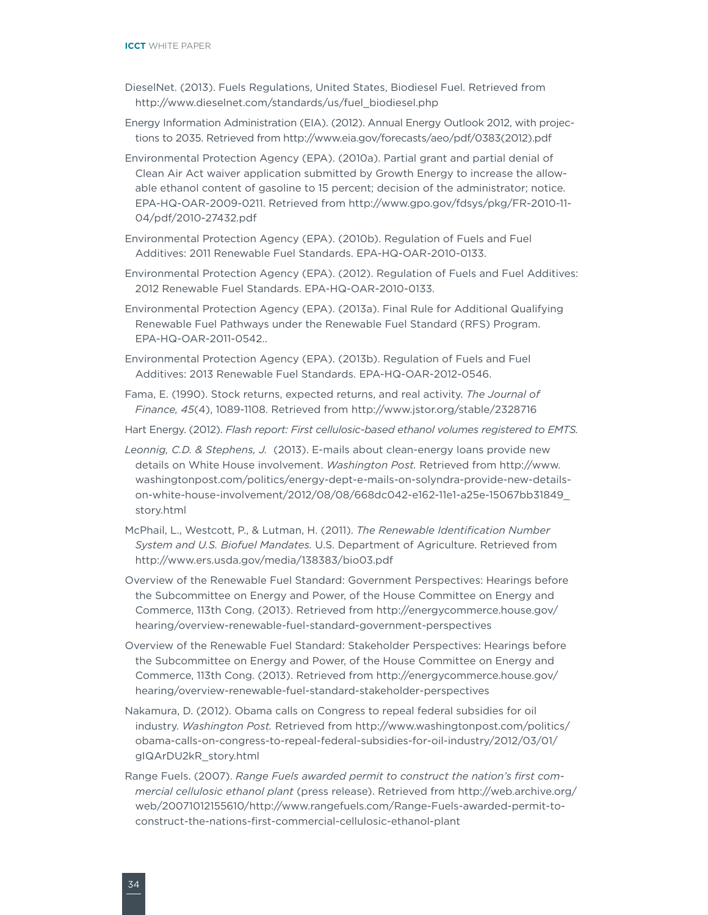- DieselNet. (2013). Fuels Regulations, United States, Biodiesel Fuel. Retrieved from http://www.dieselnet.com/standards/us/fuel\_biodiesel.php
- Energy Information Administration (EIA). (2012). Annual Energy Outlook 2012, with projections to 2035. Retrieved from [http://www.eia.gov/forecasts/aeo/pdf/0383\(2012\).pdf](http://www.eia.gov/forecasts/aeo/pdf/0383(2012).pdf)
- Environmental Protection Agency (EPA). (2010a). Partial grant and partial denial of Clean Air Act waiver application submitted by Growth Energy to increase the allowable ethanol content of gasoline to 15 percent; decision of the administrator; notice. EPA-HQ-OAR-2009-0211. Retrieved from http://www.gpo.gov/fdsys/pkg/FR-2010-11- 04/pdf/2010-27432.pdf
- Environmental Protection Agency (EPA). (2010b). Regulation of Fuels and Fuel Additives: 2011 Renewable Fuel Standards. EPA-HQ-OAR-2010-0133.
- Environmental Protection Agency (EPA). (2012). Regulation of Fuels and Fuel Additives: 2012 Renewable Fuel Standards. EPA-HQ-OAR-2010-0133.
- Environmental Protection Agency (EPA). (2013a). Final Rule for Additional Qualifying Renewable Fuel Pathways under the Renewable Fuel Standard (RFS) Program. EPA-HQ-OAR-2011-0542..
- Environmental Protection Agency (EPA). (2013b). Regulation of Fuels and Fuel Additives: 2013 Renewable Fuel Standards. EPA-HQ-OAR-2012-0546.
- Fama, E. (1990). Stock returns, expected returns, and real activity. *The Journal of Finance, 45*(4), 1089-1108. [Retrieved](file:///Users/valerie/Desktop/VS%20Graphic%20Design/Clients/(41)%20ICCT/projects/P41-074-13%20Advanced%20Biofuels%20White%20Paper/Retrieved) from http://www.jstor.org/stable/2328716
- Hart Energy. (2012). *Flash report: First cellulosic-based ethanol volumes registered to EMTS.*
- *Leonnig, C.D. & Stephens, J.* (2013). E-mails about clean-energy loans provide new details on White House involvement. *Washington Post.* Retrieved from [http://www.](http://www.washingtonpost.com/politics/energy-dept-e-mails-on-solyndra-provide-new-details-on-white-house-involvement/2012/08/08/668dc042-e162-11e1-a25e-15067bb31849_story.html) [washingtonpost.com/politics/energy-dept-e-mails-on-solyndra-provide-new-details](http://www.washingtonpost.com/politics/energy-dept-e-mails-on-solyndra-provide-new-details-on-white-house-involvement/2012/08/08/668dc042-e162-11e1-a25e-15067bb31849_story.html)[on-white-house-involvement/2012/08/08/668dc042-e162-11e1-a25e-15067bb31849\\_](http://www.washingtonpost.com/politics/energy-dept-e-mails-on-solyndra-provide-new-details-on-white-house-involvement/2012/08/08/668dc042-e162-11e1-a25e-15067bb31849_story.html) [story.html](http://www.washingtonpost.com/politics/energy-dept-e-mails-on-solyndra-provide-new-details-on-white-house-involvement/2012/08/08/668dc042-e162-11e1-a25e-15067bb31849_story.html)
- McPhail, L., Westcott, P., & Lutman, H. (2011). *The Renewable Identification Number System and U.S. Biofuel Mandates.* U.S. Department of Agriculture. Retrieved from http://www.ers.usda.gov/media/138383/bio03.pdf
- Overview of the Renewable Fuel Standard: Government Perspectives: Hearings before the Subcommittee on Energy and Power, of the House Committee on Energy and Commerce, 113th Cong. (2013). Retrieved from [http://energycommerce.house.gov/](http://energycommerce.house.gov/hearing/overview-renewable-fuel-standard-government-perspectives) [hearing/overview-renewable-fuel-standard-government-perspectives](http://energycommerce.house.gov/hearing/overview-renewable-fuel-standard-government-perspectives)
- Overview of the Renewable Fuel Standard: Stakeholder Perspectives: Hearings before the Subcommittee on Energy and Power, of the House Committee on Energy and Commerce, 113th Cong. (2013). Retrieved from [http://energycommerce.house.gov/](http://energycommerce.house.gov/hearing/overview-renewable-fuel-standard-stakeholder-perspectives) [hearing/overview-renewable-fuel-standard-stakeholder-perspectives](http://energycommerce.house.gov/hearing/overview-renewable-fuel-standard-stakeholder-perspectives)
- Nakamura, D. (2012). Obama calls on Congress to repeal federal subsidies for oil industry. *Washington Post.* Retrieved from [http://www.washingtonpost.com/politics/](http://www.washingtonpost.com/politics/obama-calls-on-congress-to-repeal-federal-subsidies-for-oil-industry/2012/03/01/gIQArDU2kR_story.html) [obama-calls-on-congress-to-repeal-federal-subsidies-for-oil-industry/2012/03/01/](http://www.washingtonpost.com/politics/obama-calls-on-congress-to-repeal-federal-subsidies-for-oil-industry/2012/03/01/gIQArDU2kR_story.html) [gIQArDU2kR\\_story.html](http://www.washingtonpost.com/politics/obama-calls-on-congress-to-repeal-federal-subsidies-for-oil-industry/2012/03/01/gIQArDU2kR_story.html)
- Range Fuels. (2007). *Range Fuels awarded permit to construct the nation's first commercial cellulosic ethanol plant* (press release). Retrieved from [http://web.archive.org/](http://web.archive.org/web/20071012155610/http://www.rangefuels.com/Range-Fuels-awarded-permit-to-construct-the-nations-first-commercial-cellulosic-ethanol-plant) [web/20071012155610/http://www.rangefuels.com/Range-Fuels-awarded-permit-to](http://web.archive.org/web/20071012155610/http://www.rangefuels.com/Range-Fuels-awarded-permit-to-construct-the-nations-first-commercial-cellulosic-ethanol-plant)[construct-the-nations-first-commercial-cellulosic-ethanol-plant](http://web.archive.org/web/20071012155610/http://www.rangefuels.com/Range-Fuels-awarded-permit-to-construct-the-nations-first-commercial-cellulosic-ethanol-plant)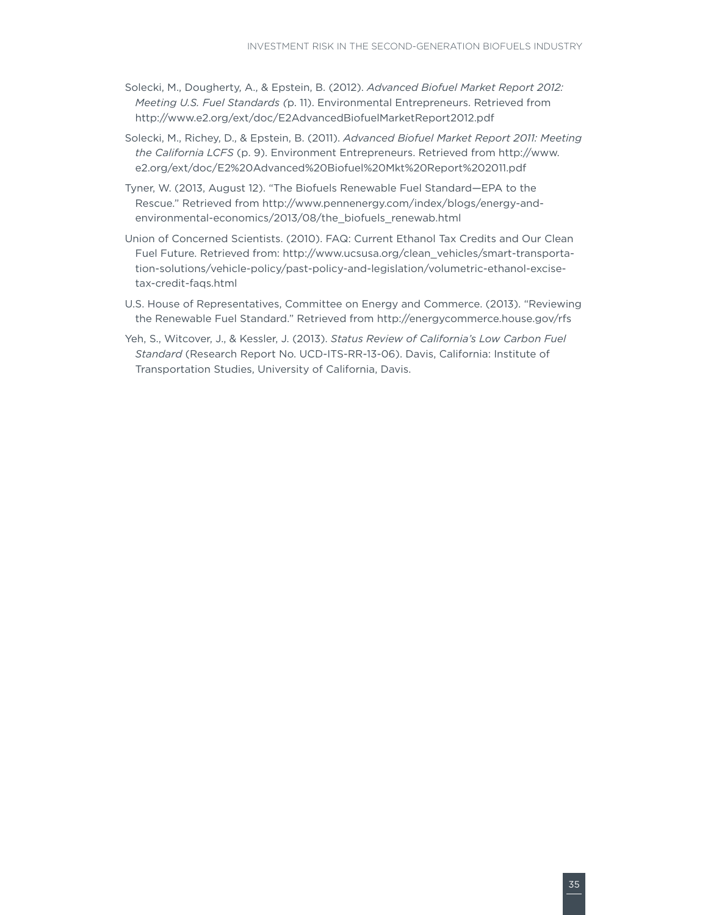- Solecki, M., Dougherty, A., & Epstein, B. (2012). *Advanced Biofuel Market Report 2012: Meeting U.S. Fuel Standards (*p. 11). Environmental Entrepreneurs. Retrieved from <http://www.e2.org/ext/doc/E2AdvancedBiofuelMarketReport2012.pdf>
- Solecki, M., Richey, D., & Epstein, B. (2011). *Advanced Biofuel Market Report 2011: Meeting the California LCFS* (p. 9). Environment Entrepreneurs. Retrieved from [http://www.](http://www.e2.org/ext/doc/E2%20Advanced%20Biofuel%20Mkt%20Report%202011.pdf) [e2.org/ext/doc/E2%20Advanced%20Biofuel%20Mkt%20Report%202011.pdf](http://www.e2.org/ext/doc/E2%20Advanced%20Biofuel%20Mkt%20Report%202011.pdf)
- Tyner, W. (2013, August 12). "The Biofuels Renewable Fuel Standard—EPA to the Rescue." Retrieved from http://www.pennenergy.com/index/blogs/energy-andenvironmental-economics/2013/08/the\_biofuels\_renewab.html
- Union of Concerned Scientists. (2010). FAQ: Current Ethanol Tax Credits and Our Clean Fuel Future. Retrieved from: http://www.ucsusa.org/clean\_vehicles/smart-transportation-solutions/vehicle-policy/past-policy-and-legislation/volumetric-ethanol-excisetax-credit-faqs.html
- U.S. House of Representatives, Committee on Energy and Commerce. (2013). "Reviewing the Renewable Fuel Standard." Retrieved from http://energycommerce.house.gov/rfs
- Yeh, S., Witcover, J., & Kessler, J. (2013). *Status Review of California's Low Carbon Fuel Standard* (Research Report No. UCD-ITS-RR-13-06). Davis, California: Institute of Transportation Studies, University of California, Davis.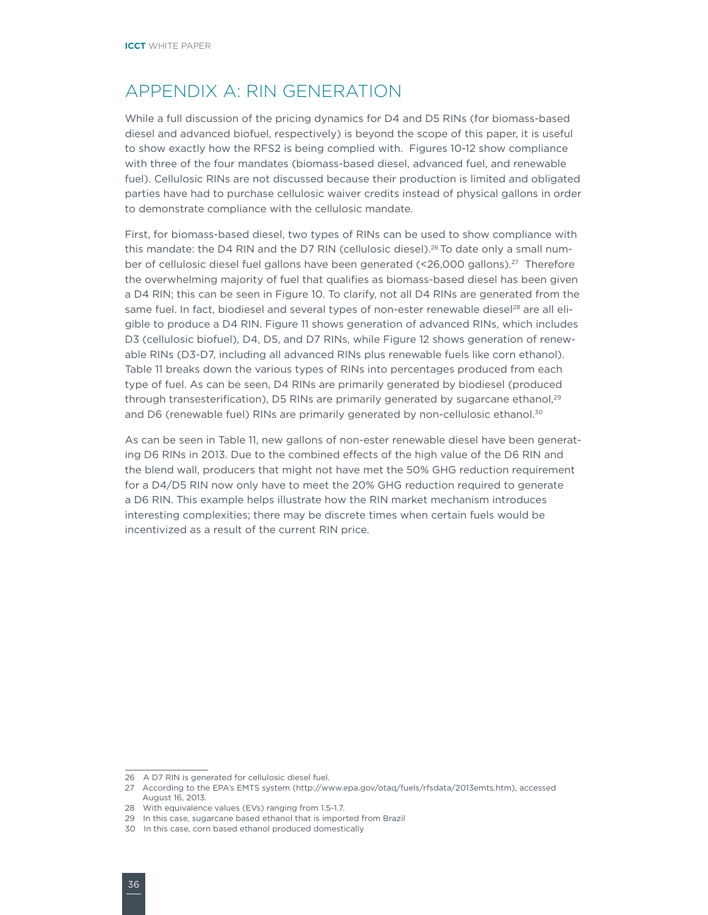### <span id="page-39-0"></span>APPENDIX A: RIN GENERATION

While a full discussion of the pricing dynamics for D4 and D5 RINs (for biomass-based diesel and advanced biofuel, respectively) is beyond the scope of this paper, it is useful to show exactly how the RFS2 is being complied with. Figures 10-12 show compliance with three of the four mandates (biomass-based diesel, advanced fuel, and renewable fuel). Cellulosic RINs are not discussed because their production is limited and obligated parties have had to purchase cellulosic waiver credits instead of physical gallons in order to demonstrate compliance with the cellulosic mandate.

First, for biomass-based diesel, two types of RINs can be used to show compliance with this mandate: the D4 RIN and the D7 RIN (cellulosic diesel).<sup>26</sup> To date only a small number of cellulosic diesel fuel gallons have been generated (<26,000 gallons).<sup>27</sup> Therefore the overwhelming majority of fuel that qualifies as biomass-based diesel has been given a D4 RIN; this can be seen in Figure 10. To clarify, not all D4 RINs are generated from the same fuel. In fact, biodiesel and several types of non-ester renewable diesel<sup>28</sup> are all eligible to produce a D4 RIN. Figure 11 shows generation of advanced RINs, which includes D3 (cellulosic biofuel), D4, D5, and D7 RINs, while Figure 12 shows generation of renewable RINs (D3-D7, including all advanced RINs plus renewable fuels like corn ethanol). Table 11 breaks down the various types of RINs into percentages produced from each type of fuel. As can be seen, D4 RINs are primarily generated by biodiesel (produced through transesterification), D5 RINs are primarily generated by sugarcane ethanol,<sup>29</sup> and D6 (renewable fuel) RINs are primarily generated by non-cellulosic ethanol.<sup>30</sup>

As can be seen in Table 11, new gallons of non-ester renewable diesel have been generating D6 RINs in 2013. Due to the combined effects of the high value of the D6 RIN and the blend wall, producers that might not have met the 50% GHG reduction requirement for a D4/D5 RIN now only have to meet the 20% GHG reduction required to generate a D6 RIN. This example helps illustrate how the RIN market mechanism introduces interesting complexities; there may be discrete times when certain fuels would be incentivized as a result of the current RIN price.

<sup>26</sup> A D7 RIN is generated for cellulosic diesel fuel.

<sup>27</sup> According to the EPA's EMTS system [\(http://www.epa.gov/otaq/fuels/rfsdata/2013emts.htm\)](http://www.epa.gov/otaq/fuels/rfsdata/2013emts.htm), accessed August 16, 2013.

<sup>28</sup> With equivalence values (EVs) ranging from 1.5-1.7.

<sup>29</sup> In this case, sugarcane based ethanol that is imported from Brazil

<sup>30</sup> In this case, corn based ethanol produced domestically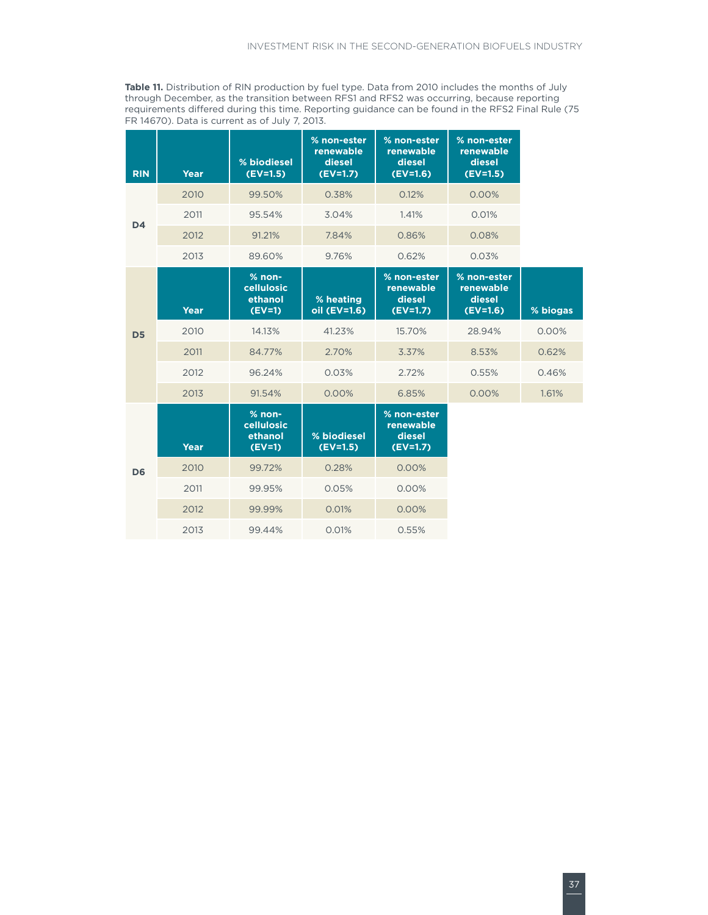**Table 11.** Distribution of RIN production by fuel type. Data from 2010 includes the months of July through December, as the transition between RFS1 and RFS2 was occurring, because reporting requirements differed during this time. Reporting guidance can be found in the RFS2 Final Rule (75 FR 14670). Data is current as of July 7, 2013.

| <b>RIN</b>     | Year        | % biodiesel<br>$(EV=1.5)$                     | % non-ester<br>renewable<br>diesel<br>$(EV=1.7)$ | % non-ester<br>renewable<br>diesel<br>$(EV=1.6)$ | % non-ester<br>renewable<br>diesel<br>$(EV=1.5)$ |          |
|----------------|-------------|-----------------------------------------------|--------------------------------------------------|--------------------------------------------------|--------------------------------------------------|----------|
|                | 2010        | 99.50%                                        | 0.38%                                            | 0.12%                                            | 0.00%                                            |          |
| D <sub>4</sub> | 2011        | 95.54%                                        | 3.04%                                            | 1.41%                                            | 0.01%                                            |          |
|                | 2012        | 91.21%                                        | 7.84%                                            | 0.86%                                            | 0.08%                                            |          |
|                | 2013        | 89.60%                                        | 9.76%                                            | 0.62%                                            | 0.03%                                            |          |
|                | <b>Year</b> | $%$ non-<br>cellulosic<br>ethanol<br>$(EV=1)$ | % heating<br>oil (EV=1.6)                        | % non-ester<br>renewable<br>diesel<br>$(EV=1.7)$ | % non-ester<br>renewable<br>diesel<br>$(EV=1.6)$ | % biogas |
| D <sub>5</sub> | 2010        | 14.13%                                        | 41.23%                                           | 15.70%                                           | 28.94%                                           | 0.00%    |
|                | 2011        | 84.77%                                        | 2.70%                                            | 3.37%                                            | 8.53%                                            | 0.62%    |
|                | 2012        | 96.24%                                        | 0.03%                                            | 2.72%                                            | 0.55%                                            | 0.46%    |
|                | 2013        | 91.54%                                        | 0.00%                                            | 6.85%                                            | 0.00%                                            | 1.61%    |
|                | <b>Year</b> | $%$ non-<br>cellulosic<br>ethanol<br>$(EV=1)$ | % biodiesel<br>$(EV=1.5)$                        | % non-ester<br>renewable<br>diesel<br>$(EV=1.7)$ |                                                  |          |
| D <sub>6</sub> | 2010        | 99.72%                                        | 0.28%                                            | 0.00%                                            |                                                  |          |
|                | 2011        | 99.95%                                        | 0.05%                                            | 0.00%                                            |                                                  |          |
|                | 2012        | 99.99%                                        | 0.01%                                            | 0.00%                                            |                                                  |          |
|                | 2013        | 99.44%                                        | 0.01%                                            | 0.55%                                            |                                                  |          |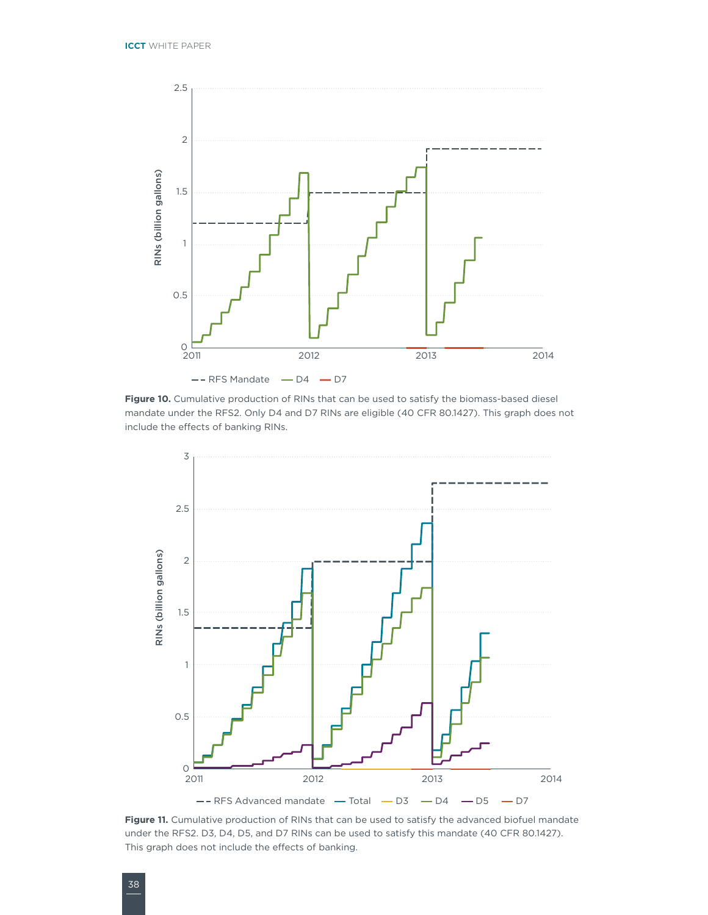

**Figure 10.** Cumulative production of RINs that can be used to satisfy the biomass-based diesel mandate under the RFS2. Only D4 and D7 RINs are eligible (40 CFR 80.1427). This graph does not include the effects of banking RINs.



**Figure 11.** Cumulative production of RINs that can be used to satisfy the advanced biofuel mandate under the RFS2. D3, D4, D5, and D7 RINs can be used to satisfy this mandate (40 CFR 80.1427). This graph does not include the effects of banking.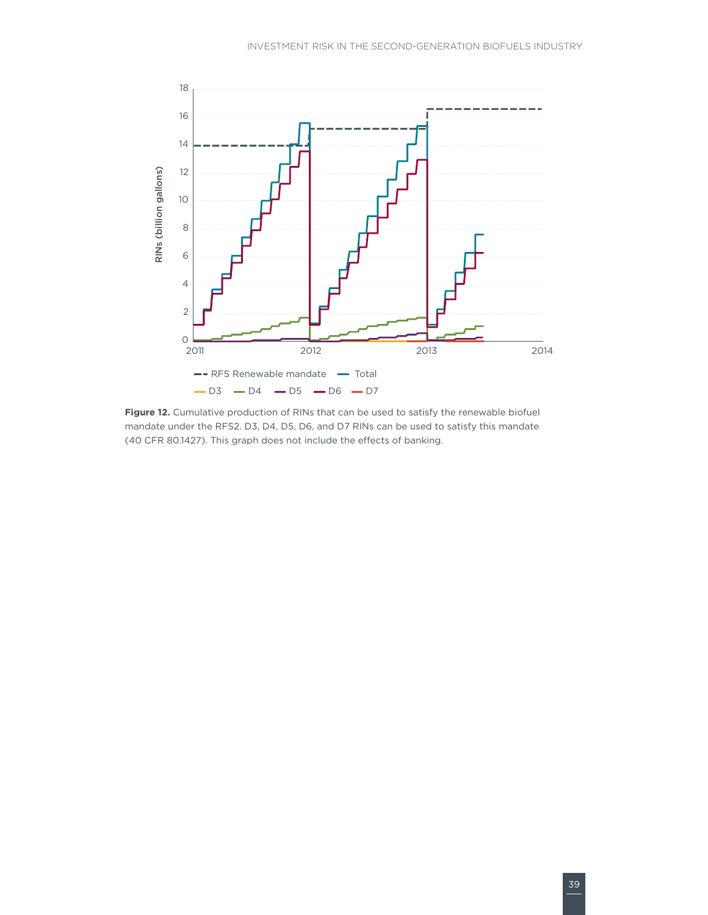

Figure 12. Cumulative production of RINs that can be used to satisfy the renewable biofuel mandate under the RFS2. D3, D4, D5, D6, and D7 RINs can be used to satisfy this mandate (40 CFR 80.1427). This graph does not include the effects of banking.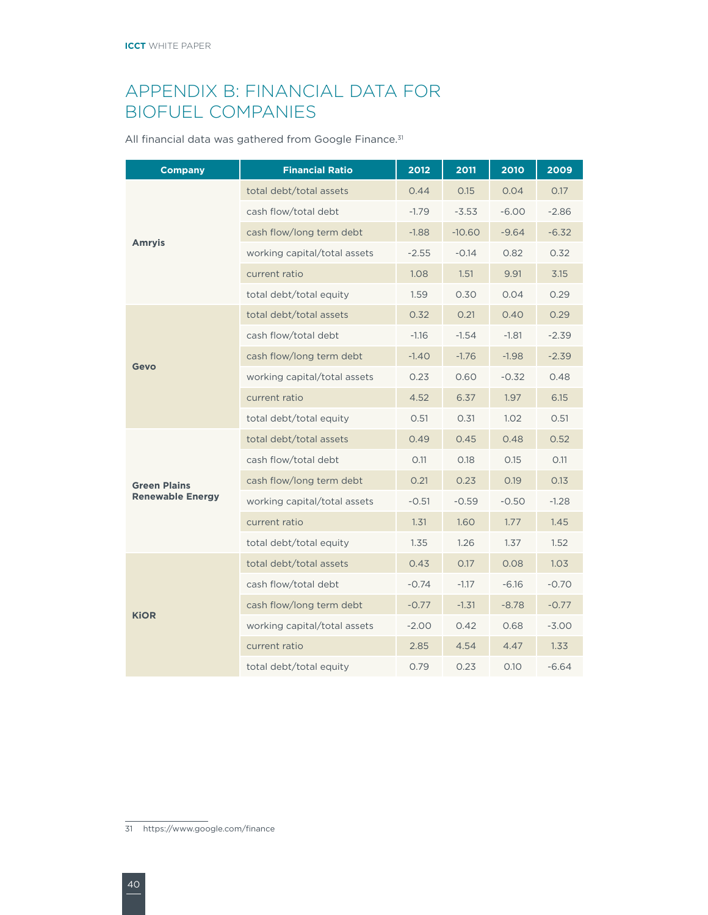### <span id="page-43-0"></span>APPENDIX B: FINANCIAL DATA FOR BIOFUEL COMPANIES

All financial data was gathered from Google Finance.<sup>31</sup>

| <b>Company</b>          | <b>Financial Ratio</b>       | 2012    | 2011     | 2010    | 2009    |
|-------------------------|------------------------------|---------|----------|---------|---------|
|                         | total debt/total assets      | 0.44    | 0.15     | 0.04    | 0.17    |
|                         | cash flow/total debt         | $-1.79$ | $-3.53$  | $-6.00$ | $-2.86$ |
|                         | cash flow/long term debt     | $-1.88$ | $-10.60$ | $-9.64$ | $-6.32$ |
| Amryis                  | working capital/total assets | $-2.55$ | $-0.14$  | 0.82    | 0.32    |
|                         | current ratio                | 1.08    | 1.51     | 9.91    | 3.15    |
|                         | total debt/total equity      | 1.59    | 0.30     | 0.04    | 0.29    |
|                         | total debt/total assets      | 0.32    | 0.21     | 0.40    | 0.29    |
|                         | cash flow/total debt         | $-1.16$ | $-1.54$  | $-1.81$ | $-2.39$ |
| Gevo                    | cash flow/long term debt     | $-1.40$ | $-1.76$  | $-1.98$ | $-2.39$ |
|                         | working capital/total assets | 0.23    | 0.60     | $-0.32$ | 0.48    |
|                         | current ratio                | 4.52    | 6.37     | 1.97    | 6.15    |
|                         | total debt/total equity      | 0.51    | 0.31     | 1.02    | 0.51    |
|                         | total debt/total assets      | 0.49    | 0.45     | 0.48    | 0.52    |
|                         | cash flow/total debt         | O.11    | 0.18     | 0.15    | O.11    |
| <b>Green Plains</b>     | cash flow/long term debt     | 0.21    | 0.23     | 0.19    | 0.13    |
| <b>Renewable Energy</b> | working capital/total assets | $-0.51$ | $-0.59$  | $-0.50$ | $-1.28$ |
|                         | current ratio                | 1.31    | 1.60     | 1.77    | 1.45    |
|                         | total debt/total equity      | 1.35    | 1.26     | 1.37    | 1.52    |
|                         | total debt/total assets      | 0.43    | 0.17     | 0.08    | 1.03    |
|                         | cash flow/total debt         | $-0.74$ | $-1.17$  | $-6.16$ | $-0.70$ |
|                         | cash flow/long term debt     | $-0.77$ | $-1.31$  | $-8.78$ | $-0.77$ |
| <b>KiOR</b>             | working capital/total assets | $-2.00$ | 0.42     | 0.68    | $-3.00$ |
|                         | current ratio                | 2.85    | 4.54     | 4.47    | 1.33    |
|                         | total debt/total equity      | 0.79    | 0.23     | 0.10    | $-6.64$ |

<sup>31</sup> https://www.google.com/finance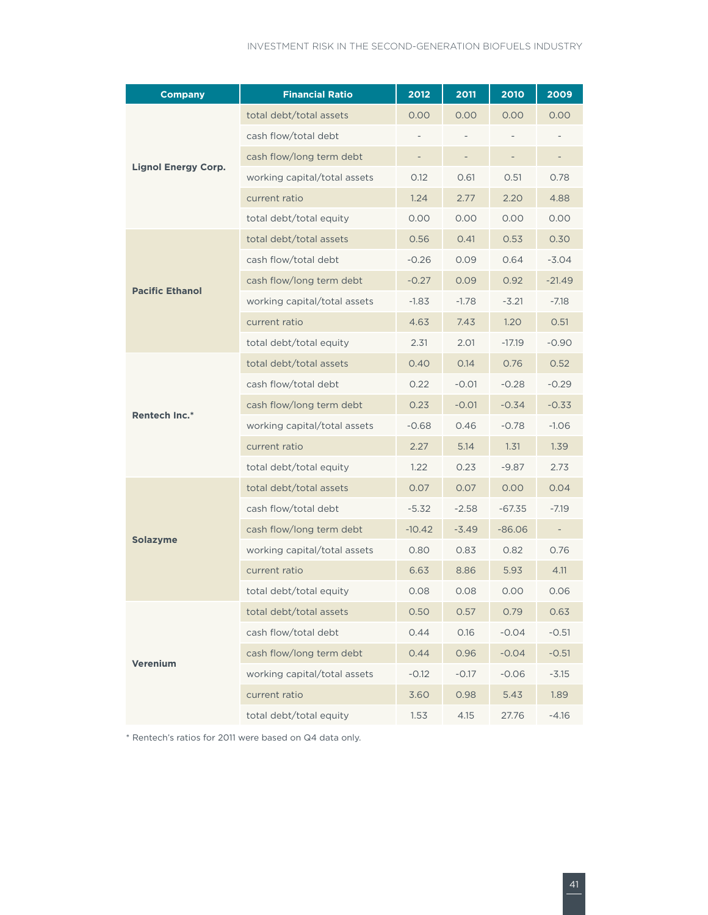| <b>Company</b>             | <b>Financial Ratio</b>       | 2012     | 2011    | 2010                     | 2009                     |
|----------------------------|------------------------------|----------|---------|--------------------------|--------------------------|
|                            | total debt/total assets      | 0.00     | 0.00    | 0.00                     | 0.00                     |
|                            | cash flow/total debt         |          |         |                          |                          |
|                            | cash flow/long term debt     |          |         | $\overline{\phantom{a}}$ | $\overline{\phantom{a}}$ |
| <b>Lignol Energy Corp.</b> | working capital/total assets | 0.12     | 0.61    | 0.51                     | 0.78                     |
|                            | current ratio                | 1.24     | 2.77    | 2.20                     | 4.88                     |
|                            | total debt/total equity      | 0.00     | 0.00    | 0.00                     | 0.00                     |
|                            | total debt/total assets      | 0.56     | 0.41    | 0.53                     | 0.30                     |
|                            | cash flow/total debt         | $-0.26$  | 0.09    | 0.64                     | $-3.04$                  |
| <b>Pacific Ethanol</b>     | cash flow/long term debt     | $-0.27$  | 0.09    | 0.92                     | $-21.49$                 |
|                            | working capital/total assets | $-1.83$  | $-1.78$ | $-3.21$                  | $-7.18$                  |
|                            | current ratio                | 4.63     | 7.43    | 1.20                     | 0.51                     |
|                            | total debt/total equity      | 2.31     | 2.01    | $-17.19$                 | $-0.90$                  |
|                            | total debt/total assets      | 0.40     | 0.14    | 0.76                     | 0.52                     |
|                            | cash flow/total debt         | 0.22     | $-0.01$ | $-0.28$                  | $-0.29$                  |
| <b>Rentech Inc.*</b>       | cash flow/long term debt     | 0.23     | $-0.01$ | $-0.34$                  | $-0.33$                  |
|                            | working capital/total assets | $-0.68$  | 0.46    | $-0.78$                  | $-1.06$                  |
|                            | current ratio                | 2.27     | 5.14    | 1.31                     | 1.39                     |
|                            | total debt/total equity      | 1.22     | 0.23    | $-9.87$                  | 2.73                     |
|                            | total debt/total assets      | 0.07     | 0.07    | 0.00                     | 0.04                     |
|                            | cash flow/total debt         | $-5.32$  | $-2.58$ | $-67.35$                 | $-7.19$                  |
|                            | cash flow/long term debt     | $-10.42$ | $-3.49$ | $-86.06$                 | $\overline{\phantom{a}}$ |
| <b>Solazyme</b>            | working capital/total assets | 0.80     | 0.83    | 0.82                     | 0.76                     |
|                            | current ratio                | 6.63     | 8.86    | 5.93                     | 4.11                     |
|                            | total debt/total equity      | 0.08     | 0.08    | 0.00                     | 0.06                     |
|                            | total debt/total assets      | 0.50     | 0.57    | 0.79                     | 0.63                     |
|                            | cash flow/total debt         | 0.44     | 0.16    | $-0.04$                  | $-0.51$                  |
|                            | cash flow/long term debt     | 0.44     | 0.96    | $-0.04$                  | $-0.51$                  |
| Verenium                   | working capital/total assets | $-0.12$  | $-0.17$ | $-0.06$                  | $-3.15$                  |
|                            | current ratio                | 3.60     | 0.98    | 5.43                     | 1.89                     |
|                            | total debt/total equity      | 1.53     | 4.15    | 27.76                    | $-4.16$                  |

\* Rentech's ratios for 2011 were based on Q4 data only.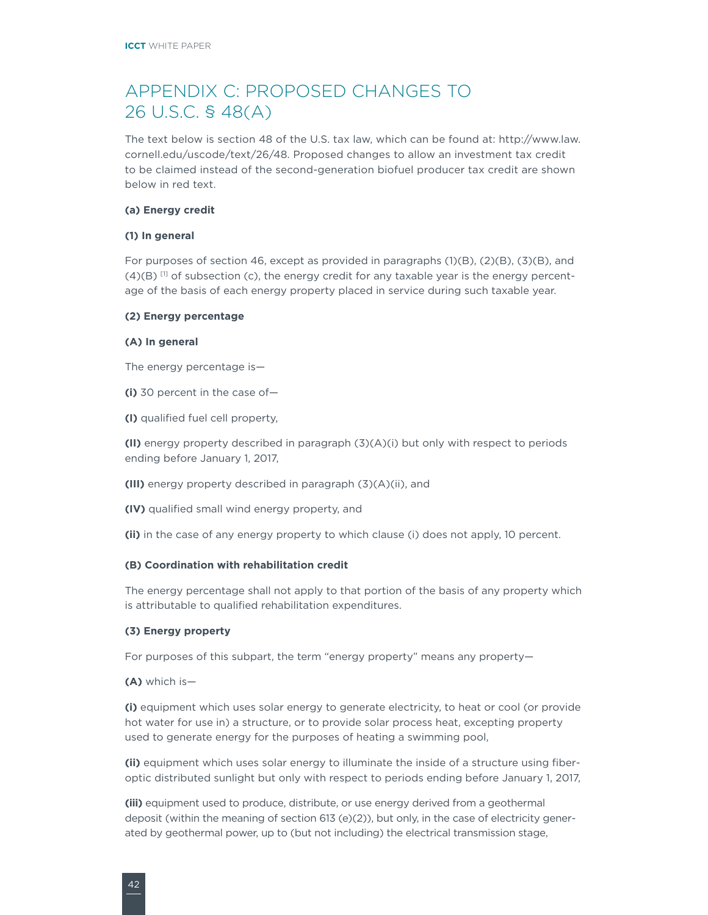### <span id="page-45-0"></span>APPENDIX C: PROPOSED CHANGES TO 26 U.S.C. § 48(A)

The text below is section 48 of the U.S. tax law, which can be found at: [http://www.law.](http://www.law.cornell.edu/uscode/text/26/48) [cornell.edu/uscode/text/26/48.](http://www.law.cornell.edu/uscode/text/26/48) Proposed changes to allow an investment tax credit to be claimed instead of the second-generation biofuel producer tax credit are shown below in red text.

#### **(a) Energy credit**

#### **(1) In general**

For purposes of section [46,](http://www.law.cornell.edu/uscode/text/26/46) except as provided in paragraphs (1)(B), (2)(B), (3)(B), and  $(4)(B)$  <sup>[1]</sup> of subsection (c), the energy credit for any taxable year is the energy percentage of the basis of each energy property placed in service during such taxable year.

#### **(2) Energy percentage**

#### **(A) In general**

The energy percentage is—

**(i)** 30 percent in the case of—

**(I)** qualified fuel cell property,

**(II)** energy property described in paragraph (3)(A)(i) but only with respect to periods ending before January 1, 2017,

**(III)** energy property described in paragraph (3)(A)(ii), and

**(IV)** qualified small wind energy property, and

**(ii)** in the case of any energy property to which clause (i) does not apply, 10 percent.

### **(B) Coordination with rehabilitation credit**

The energy percentage shall not apply to that portion of the basis of any property which is attributable to qualified rehabilitation expenditures.

### **(3) Energy property**

For purposes of this subpart, the term "energy property" means any property-

**(A)** which is—

**(i)** equipment which uses solar energy to generate electricity, to heat or cool (or provide hot water for use in) a structure, or to provide solar process heat, excepting property used to generate energy for the purposes of heating a swimming pool,

**(ii)** equipment which uses solar energy to illuminate the inside of a structure using fiberoptic distributed sunlight but only with respect to periods ending before January 1, 2017,

**(iii)** equipment used to produce, distribute, or use energy derived from a geothermal deposit (within the meaning of section [613](http://www.law.cornell.edu/uscode/text/26/613) (e)(2)), but only, in the case of electricity generated by geothermal power, up to (but not including) the electrical transmission stage,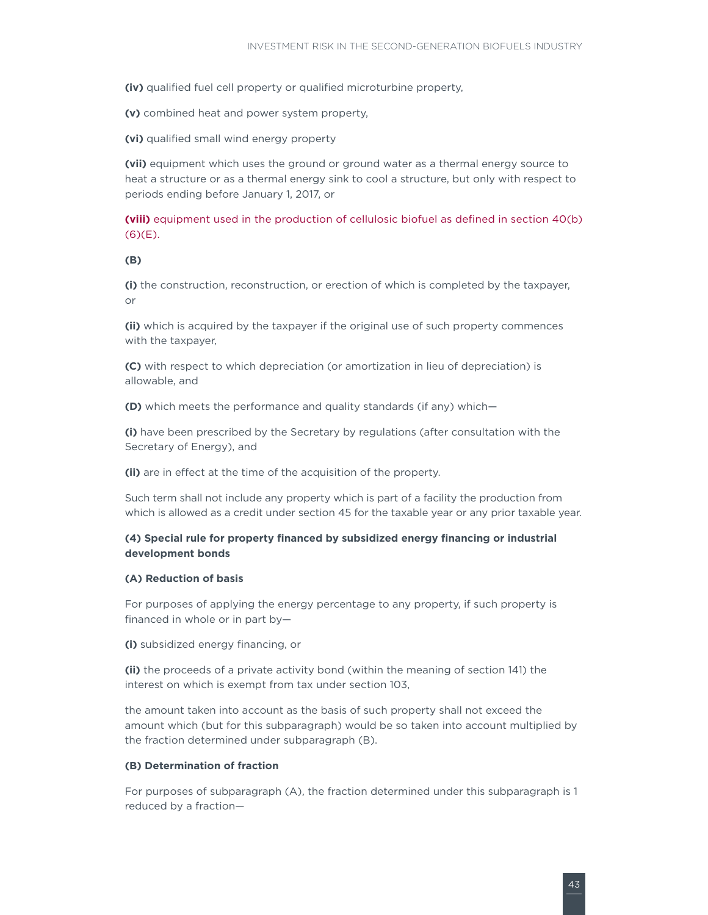**(iv)** qualified fuel cell property or qualified microturbine property,

**(v)** combined heat and power system property,

**(vi)** qualified small wind energy property

**(vii)** equipment which uses the ground or ground water as a thermal energy source to heat a structure or as a thermal energy sink to cool a structure, but only with respect to periods ending before January 1, 2017, or

**(viii)** equipment used in the production of cellulosic biofuel as defined in section 40(b) (6)(E).

#### **(B)**

**(i)** the construction, reconstruction, or erection of which is completed by the taxpayer, or

**(ii)** which is acquired by the taxpayer if the original use of such property commences with the taxpayer,

**(C)** with respect to which depreciation (or amortization in lieu of depreciation) is allowable, and

**(D)** which meets the performance and quality standards (if any) which—

**(i)** have been prescribed by the Secretary by regulations (after consultation with the Secretary of Energy), and

(ii) are in effect at the time of the acquisition of the property.

Such term shall not include any property which is part of a facility the production from which is allowed as a credit under section [45](http://www.law.cornell.edu/uscode/text/26/45) for the taxable year or any prior taxable year.

### **(4) Special rule for property financed by subsidized energy financing or industrial development bonds**

#### **(A) Reduction of basis**

For purposes of applying the energy percentage to any property, if such property is financed in whole or in part by—

**(i)** subsidized energy financing, or

**(ii)** the proceeds of a private activity bond (within the meaning of section [141\)](http://www.law.cornell.edu/uscode/text/26/141) the interest on which is exempt from tax under section [103](http://www.law.cornell.edu/uscode/text/26/103),

the amount taken into account as the basis of such property shall not exceed the amount which (but for this subparagraph) would be so taken into account multiplied by the fraction determined under subparagraph (B).

### **(B) Determination of fraction**

For purposes of subparagraph (A), the fraction determined under this subparagraph is 1 reduced by a fraction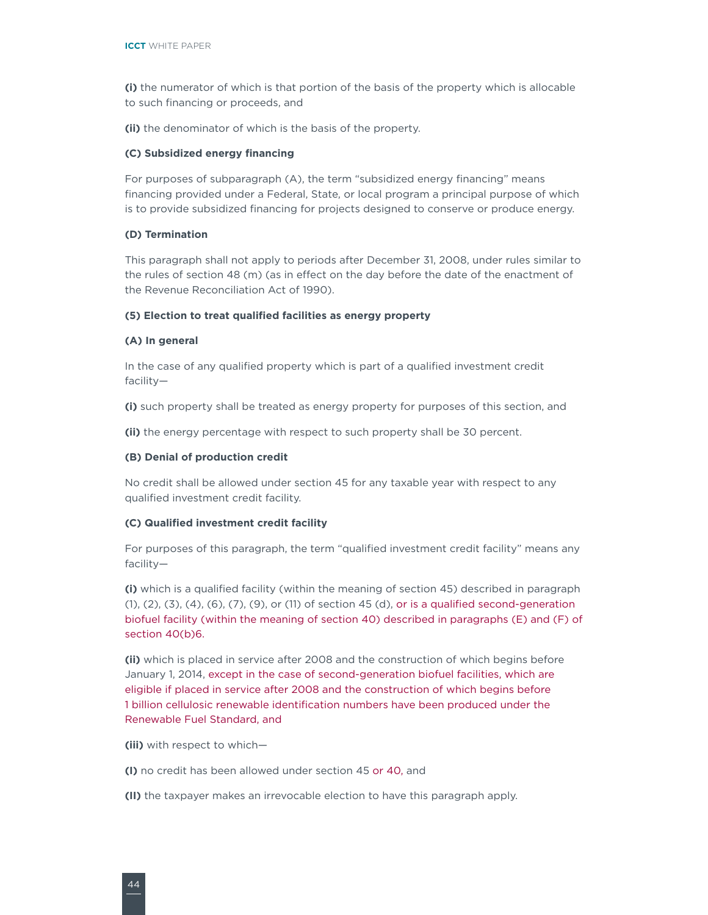**(i)** the numerator of which is that portion of the basis of the property which is allocable to such financing or proceeds, and

**(ii)** the denominator of which is the basis of the property.

### **(C) Subsidized energy financing**

For purposes of subparagraph (A), the term "subsidized energy financing" means financing provided under a Federal, State, or local program a principal purpose of which is to provide subsidized financing for projects designed to conserve or produce energy.

#### **(D) Termination**

This paragraph shall not apply to periods after December 31, 2008, under rules similar to the rules of section [48](http://www.law.cornell.edu/uscode/text/26/48) (m) (as in effect on the day before the date of the enactment of the Revenue Reconciliation Act of 1990).

#### **(5) Election to treat qualified facilities as energy property**

#### **(A) In general**

In the case of any qualified property which is part of a qualified investment credit facility—

**(i)** such property shall be treated as energy property for purposes of this section, and

**(ii)** the energy percentage with respect to such property shall be 30 percent.

### **(B) Denial of production credit**

No credit shall be allowed under section [45](http://www.law.cornell.edu/uscode/text/26/45) for any taxable year with respect to any qualified investment credit facility.

#### **(C) Qualified investment credit facility**

For purposes of this paragraph, the term "qualified investment credit facility" means any facility—

**(i)** which is a qualified facility (within the meaning of section [45\)](http://www.law.cornell.edu/uscode/text/26/45) described in paragraph (1), (2), (3), (4), (6), (7), (9), or (11) of section [45](http://www.law.cornell.edu/uscode/text/26/45) (d), or is a qualified second-generation biofuel facility (within the meaning of section 40) described in paragraphs (E) and (F) of section 40(b)6.

**(ii)** which is placed in service after 2008 and the construction of which begins before January 1, 2014, except in the case of second-generation biofuel facilities, which are eligible if placed in service after 2008 and the construction of which begins before 1 billion cellulosic renewable identification numbers have been produced under the Renewable Fuel Standard, and

**(iii)** with respect to which—

**(I)** no credit has been allowed under section [45](http://www.law.cornell.edu/uscode/text/26/45) or 40, and

**(II)** the taxpayer makes an irrevocable election to have this paragraph apply.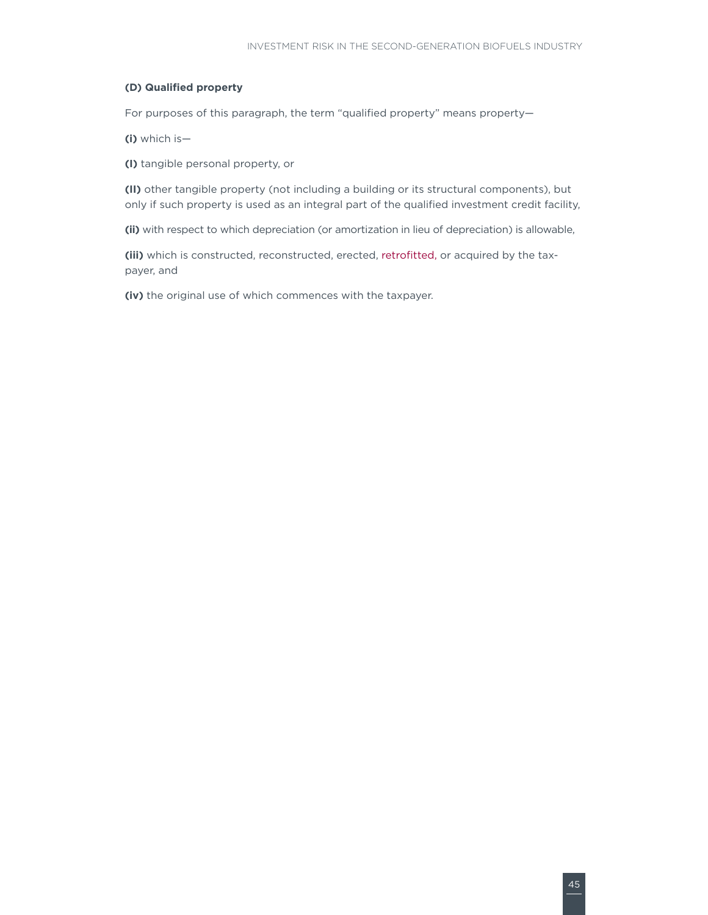### **(D) Qualified property**

For purposes of this paragraph, the term "qualified property" means property-

**(i)** which is—

**(I)** tangible personal property, or

**(II)** other tangible property (not including a building or its structural components), but only if such property is used as an integral part of the qualified investment credit facility,

**(ii)** with respect to which depreciation (or amortization in lieu of depreciation) is allowable,

**(iii)** which is constructed, reconstructed, erected, retrofitted, or acquired by the taxpayer, and

**(iv)** the original use of which commences with the taxpayer.